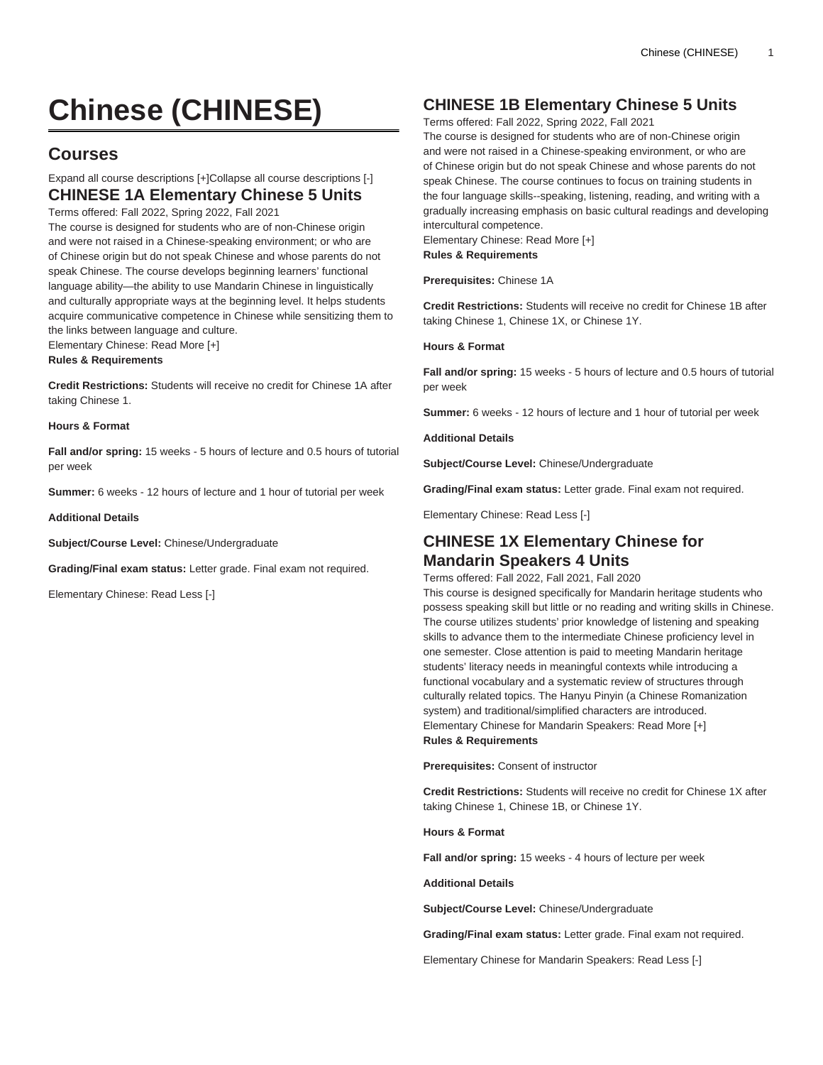# **Chinese (CHINESE)**

# **Courses**

# Expand all course descriptions [+]Collapse all course descriptions [-] **CHINESE 1A Elementary Chinese 5 Units**

Terms offered: Fall 2022, Spring 2022, Fall 2021

The course is designed for students who are of non-Chinese origin and were not raised in a Chinese-speaking environment; or who are of Chinese origin but do not speak Chinese and whose parents do not speak Chinese. The course develops beginning learners' functional language ability—the ability to use Mandarin Chinese in linguistically and culturally appropriate ways at the beginning level. It helps students acquire communicative competence in Chinese while sensitizing them to the links between language and culture. Elementary Chinese: Read More [+]

**Rules & Requirements**

**Credit Restrictions:** Students will receive no credit for Chinese 1A after taking Chinese 1.

**Hours & Format**

**Fall and/or spring:** 15 weeks - 5 hours of lecture and 0.5 hours of tutorial per week

**Summer:** 6 weeks - 12 hours of lecture and 1 hour of tutorial per week

**Additional Details**

**Subject/Course Level:** Chinese/Undergraduate

**Grading/Final exam status:** Letter grade. Final exam not required.

Elementary Chinese: Read Less [-]

# **CHINESE 1B Elementary Chinese 5 Units**

Terms offered: Fall 2022, Spring 2022, Fall 2021

The course is designed for students who are of non-Chinese origin and were not raised in a Chinese-speaking environment, or who are of Chinese origin but do not speak Chinese and whose parents do not speak Chinese. The course continues to focus on training students in the four language skills--speaking, listening, reading, and writing with a gradually increasing emphasis on basic cultural readings and developing intercultural competence. Elementary Chinese: Read More [+]

**Rules & Requirements**

**Prerequisites:** Chinese 1A

**Credit Restrictions:** Students will receive no credit for Chinese 1B after taking Chinese 1, Chinese 1X, or Chinese 1Y.

**Hours & Format**

**Fall and/or spring:** 15 weeks - 5 hours of lecture and 0.5 hours of tutorial per week

**Summer:** 6 weeks - 12 hours of lecture and 1 hour of tutorial per week

**Additional Details**

**Subject/Course Level:** Chinese/Undergraduate

**Grading/Final exam status:** Letter grade. Final exam not required.

Elementary Chinese: Read Less [-]

### **CHINESE 1X Elementary Chinese for Mandarin Speakers 4 Units**

Terms offered: Fall 2022, Fall 2021, Fall 2020

This course is designed specifically for Mandarin heritage students who possess speaking skill but little or no reading and writing skills in Chinese. The course utilizes students' prior knowledge of listening and speaking skills to advance them to the intermediate Chinese proficiency level in one semester. Close attention is paid to meeting Mandarin heritage students' literacy needs in meaningful contexts while introducing a functional vocabulary and a systematic review of structures through culturally related topics. The Hanyu Pinyin (a Chinese Romanization system) and traditional/simplified characters are introduced. Elementary Chinese for Mandarin Speakers: Read More [+] **Rules & Requirements**

**Prerequisites:** Consent of instructor

**Credit Restrictions:** Students will receive no credit for Chinese 1X after taking Chinese 1, Chinese 1B, or Chinese 1Y.

**Hours & Format**

**Fall and/or spring:** 15 weeks - 4 hours of lecture per week

**Additional Details**

**Subject/Course Level:** Chinese/Undergraduate

**Grading/Final exam status:** Letter grade. Final exam not required.

Elementary Chinese for Mandarin Speakers: Read Less [-]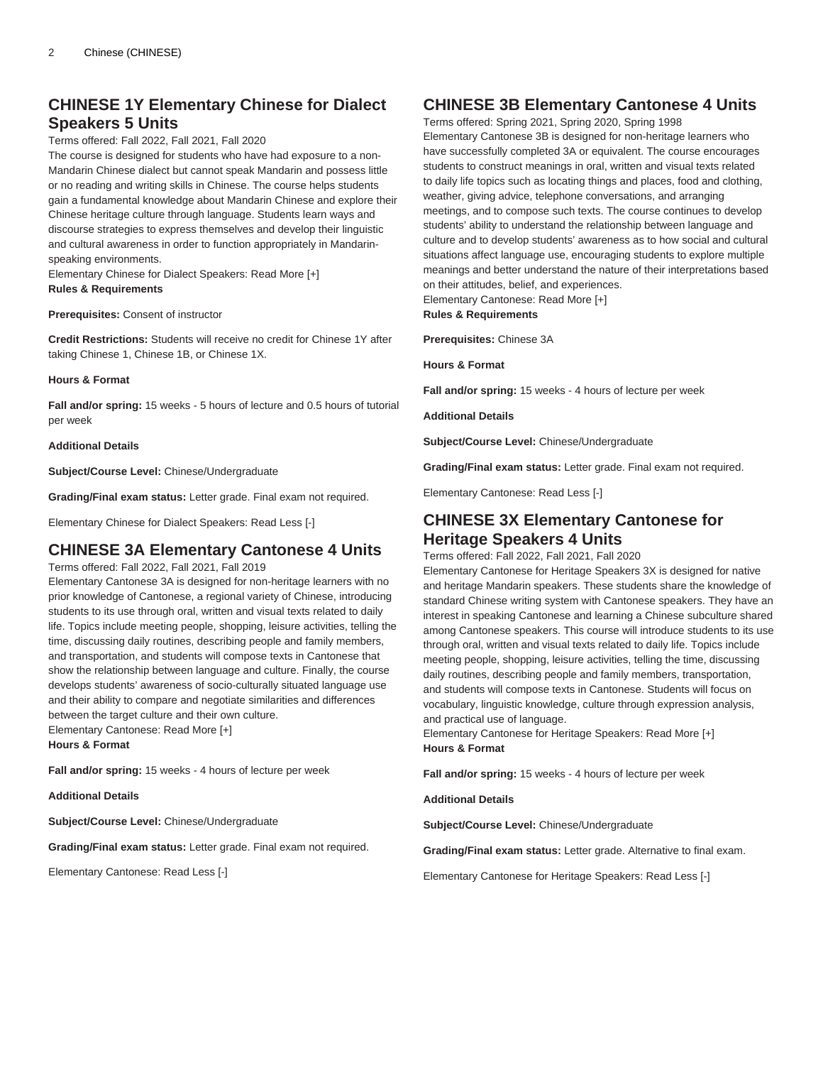# **CHINESE 1Y Elementary Chinese for Dialect Speakers 5 Units**

### Terms offered: Fall 2022, Fall 2021, Fall 2020

The course is designed for students who have had exposure to a non-Mandarin Chinese dialect but cannot speak Mandarin and possess little or no reading and writing skills in Chinese. The course helps students gain a fundamental knowledge about Mandarin Chinese and explore their Chinese heritage culture through language. Students learn ways and discourse strategies to express themselves and develop their linguistic and cultural awareness in order to function appropriately in Mandarinspeaking environments.

Elementary Chinese for Dialect Speakers: Read More [+] **Rules & Requirements**

**Prerequisites:** Consent of instructor

**Credit Restrictions:** Students will receive no credit for Chinese 1Y after taking Chinese 1, Chinese 1B, or Chinese 1X.

#### **Hours & Format**

**Fall and/or spring:** 15 weeks - 5 hours of lecture and 0.5 hours of tutorial per week

#### **Additional Details**

**Subject/Course Level:** Chinese/Undergraduate

**Grading/Final exam status:** Letter grade. Final exam not required.

Elementary Chinese for Dialect Speakers: Read Less [-]

### **CHINESE 3A Elementary Cantonese 4 Units**

Terms offered: Fall 2022, Fall 2021, Fall 2019

Elementary Cantonese 3A is designed for non-heritage learners with no prior knowledge of Cantonese, a regional variety of Chinese, introducing students to its use through oral, written and visual texts related to daily life. Topics include meeting people, shopping, leisure activities, telling the time, discussing daily routines, describing people and family members, and transportation, and students will compose texts in Cantonese that show the relationship between language and culture. Finally, the course develops students' awareness of socio-culturally situated language use and their ability to compare and negotiate similarities and differences between the target culture and their own culture. Elementary Cantonese: Read More [+]

**Hours & Format**

**Fall and/or spring:** 15 weeks - 4 hours of lecture per week

**Additional Details**

**Subject/Course Level:** Chinese/Undergraduate

**Grading/Final exam status:** Letter grade. Final exam not required.

Elementary Cantonese: Read Less [-]

# **CHINESE 3B Elementary Cantonese 4 Units**

Terms offered: Spring 2021, Spring 2020, Spring 1998 Elementary Cantonese 3B is designed for non-heritage learners who have successfully completed 3A or equivalent. The course encourages students to construct meanings in oral, written and visual texts related to daily life topics such as locating things and places, food and clothing, weather, giving advice, telephone conversations, and arranging meetings, and to compose such texts. The course continues to develop students' ability to understand the relationship between language and culture and to develop students' awareness as to how social and cultural situations affect language use, encouraging students to explore multiple meanings and better understand the nature of their interpretations based on their attitudes, belief, and experiences. Elementary Cantonese: Read More [+]

**Rules & Requirements**

**Prerequisites:** Chinese 3A

**Hours & Format**

**Fall and/or spring:** 15 weeks - 4 hours of lecture per week

**Additional Details**

**Subject/Course Level:** Chinese/Undergraduate

**Grading/Final exam status:** Letter grade. Final exam not required.

Elementary Cantonese: Read Less [-]

### **CHINESE 3X Elementary Cantonese for Heritage Speakers 4 Units**

Terms offered: Fall 2022, Fall 2021, Fall 2020

Elementary Cantonese for Heritage Speakers 3X is designed for native and heritage Mandarin speakers. These students share the knowledge of standard Chinese writing system with Cantonese speakers. They have an interest in speaking Cantonese and learning a Chinese subculture shared among Cantonese speakers. This course will introduce students to its use through oral, written and visual texts related to daily life. Topics include meeting people, shopping, leisure activities, telling the time, discussing daily routines, describing people and family members, transportation, and students will compose texts in Cantonese. Students will focus on vocabulary, linguistic knowledge, culture through expression analysis, and practical use of language.

Elementary Cantonese for Heritage Speakers: Read More [+] **Hours & Format**

**Fall and/or spring:** 15 weeks - 4 hours of lecture per week

**Additional Details**

**Subject/Course Level:** Chinese/Undergraduate

**Grading/Final exam status:** Letter grade. Alternative to final exam.

Elementary Cantonese for Heritage Speakers: Read Less [-]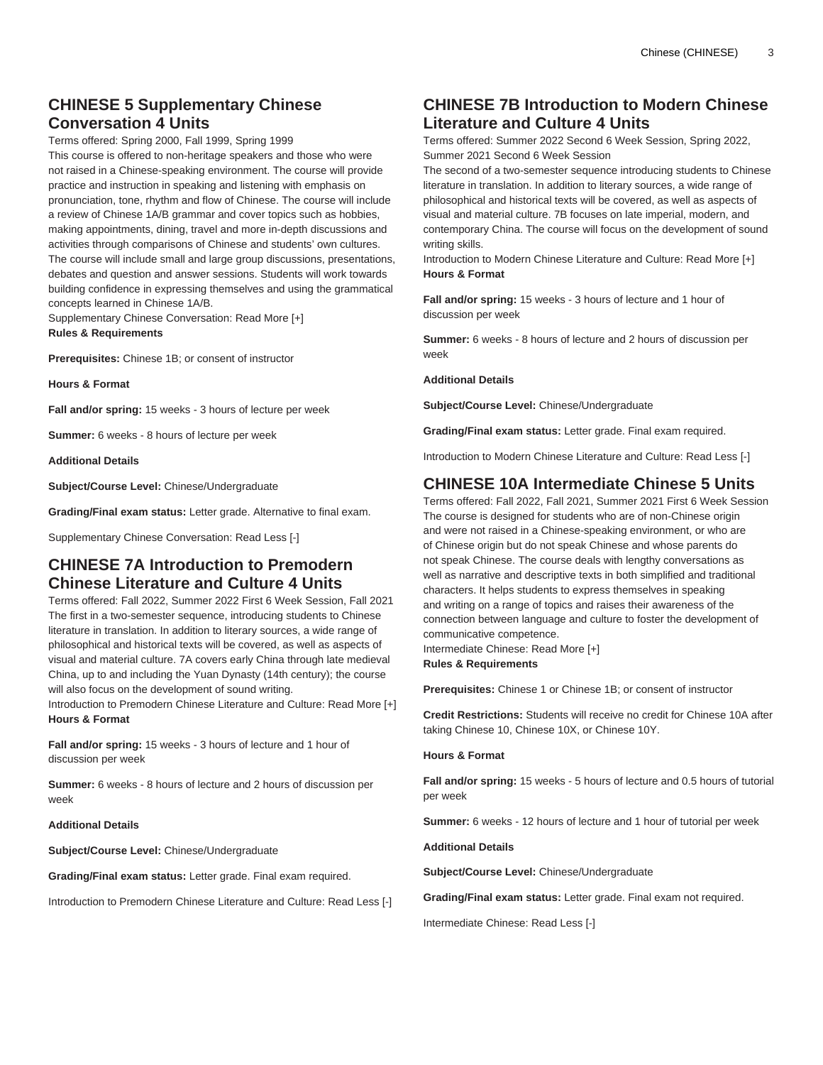# **CHINESE 5 Supplementary Chinese Conversation 4 Units**

Terms offered: Spring 2000, Fall 1999, Spring 1999

This course is offered to non-heritage speakers and those who were not raised in a Chinese-speaking environment. The course will provide practice and instruction in speaking and listening with emphasis on pronunciation, tone, rhythm and flow of Chinese. The course will include a review of Chinese 1A/B grammar and cover topics such as hobbies, making appointments, dining, travel and more in-depth discussions and activities through comparisons of Chinese and students' own cultures. The course will include small and large group discussions, presentations, debates and question and answer sessions. Students will work towards building confidence in expressing themselves and using the grammatical concepts learned in Chinese 1A/B.

Supplementary Chinese Conversation: Read More [+] **Rules & Requirements**

**Prerequisites:** Chinese 1B; or consent of instructor

**Hours & Format**

**Fall and/or spring:** 15 weeks - 3 hours of lecture per week

**Summer:** 6 weeks - 8 hours of lecture per week

#### **Additional Details**

**Subject/Course Level:** Chinese/Undergraduate

**Grading/Final exam status:** Letter grade. Alternative to final exam.

Supplementary Chinese Conversation: Read Less [-]

### **CHINESE 7A Introduction to Premodern Chinese Literature and Culture 4 Units**

Terms offered: Fall 2022, Summer 2022 First 6 Week Session, Fall 2021 The first in a two-semester sequence, introducing students to Chinese literature in translation. In addition to literary sources, a wide range of philosophical and historical texts will be covered, as well as aspects of visual and material culture. 7A covers early China through late medieval China, up to and including the Yuan Dynasty (14th century); the course will also focus on the development of sound writing.

Introduction to Premodern Chinese Literature and Culture: Read More [+] **Hours & Format**

**Fall and/or spring:** 15 weeks - 3 hours of lecture and 1 hour of discussion per week

**Summer:** 6 weeks - 8 hours of lecture and 2 hours of discussion per week

### **Additional Details**

**Subject/Course Level:** Chinese/Undergraduate

**Grading/Final exam status:** Letter grade. Final exam required.

Introduction to Premodern Chinese Literature and Culture: Read Less [-]

### **CHINESE 7B Introduction to Modern Chinese Literature and Culture 4 Units**

Terms offered: Summer 2022 Second 6 Week Session, Spring 2022, Summer 2021 Second 6 Week Session

The second of a two-semester sequence introducing students to Chinese literature in translation. In addition to literary sources, a wide range of philosophical and historical texts will be covered, as well as aspects of visual and material culture. 7B focuses on late imperial, modern, and contemporary China. The course will focus on the development of sound writing skills.

Introduction to Modern Chinese Literature and Culture: Read More [+] **Hours & Format**

**Fall and/or spring:** 15 weeks - 3 hours of lecture and 1 hour of discussion per week

**Summer:** 6 weeks - 8 hours of lecture and 2 hours of discussion per week

**Additional Details**

**Subject/Course Level:** Chinese/Undergraduate

**Grading/Final exam status:** Letter grade. Final exam required.

Introduction to Modern Chinese Literature and Culture: Read Less [-]

### **CHINESE 10A Intermediate Chinese 5 Units**

Terms offered: Fall 2022, Fall 2021, Summer 2021 First 6 Week Session The course is designed for students who are of non-Chinese origin and were not raised in a Chinese-speaking environment, or who are of Chinese origin but do not speak Chinese and whose parents do not speak Chinese. The course deals with lengthy conversations as well as narrative and descriptive texts in both simplified and traditional characters. It helps students to express themselves in speaking and writing on a range of topics and raises their awareness of the connection between language and culture to foster the development of communicative competence. Intermediate Chinese: Read More [+]

**Rules & Requirements**

**Prerequisites:** Chinese 1 or Chinese 1B; or consent of instructor

**Credit Restrictions:** Students will receive no credit for Chinese 10A after taking Chinese 10, Chinese 10X, or Chinese 10Y.

### **Hours & Format**

**Fall and/or spring:** 15 weeks - 5 hours of lecture and 0.5 hours of tutorial per week

**Summer:** 6 weeks - 12 hours of lecture and 1 hour of tutorial per week

**Additional Details**

**Subject/Course Level:** Chinese/Undergraduate

**Grading/Final exam status:** Letter grade. Final exam not required.

Intermediate Chinese: Read Less [-]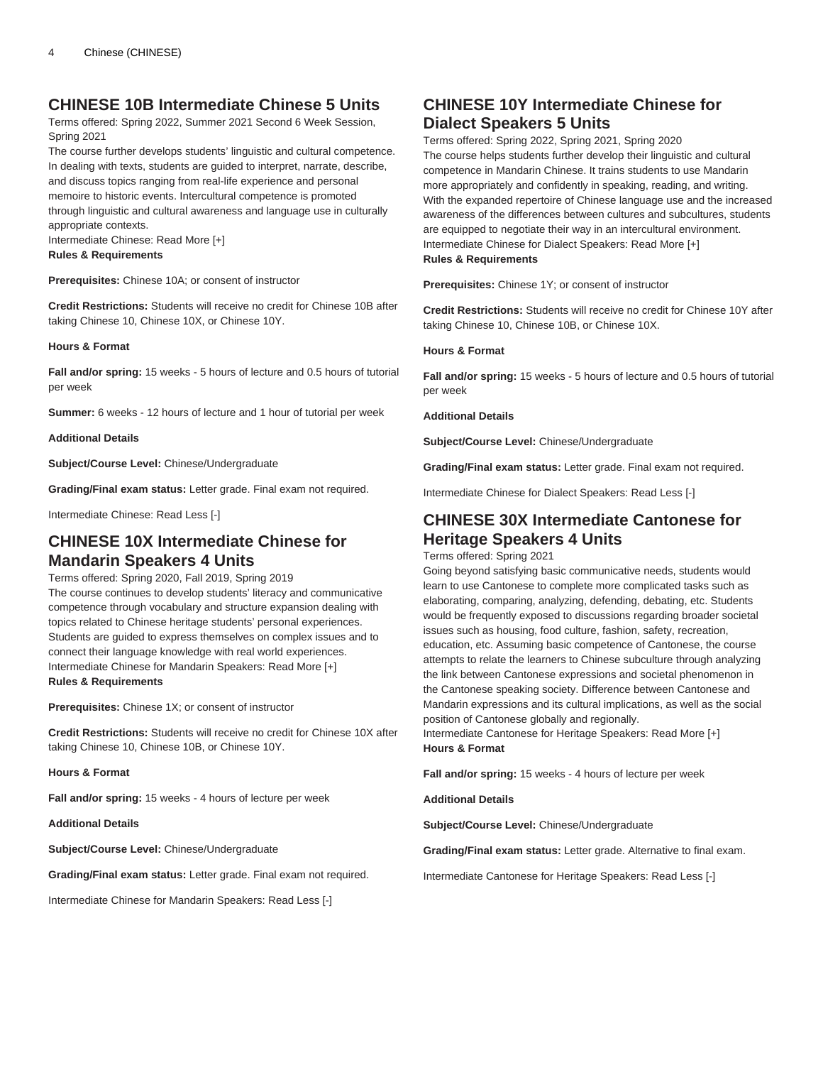### **CHINESE 10B Intermediate Chinese 5 Units**

Terms offered: Spring 2022, Summer 2021 Second 6 Week Session, Spring 2021

The course further develops students' linguistic and cultural competence. In dealing with texts, students are guided to interpret, narrate, describe, and discuss topics ranging from real-life experience and personal memoire to historic events. Intercultural competence is promoted through linguistic and cultural awareness and language use in culturally appropriate contexts.

Intermediate Chinese: Read More [+]

**Rules & Requirements**

**Prerequisites:** Chinese 10A; or consent of instructor

**Credit Restrictions:** Students will receive no credit for Chinese 10B after taking Chinese 10, Chinese 10X, or Chinese 10Y.

**Hours & Format**

**Fall and/or spring:** 15 weeks - 5 hours of lecture and 0.5 hours of tutorial per week

**Summer:** 6 weeks - 12 hours of lecture and 1 hour of tutorial per week

**Additional Details**

**Subject/Course Level:** Chinese/Undergraduate

**Grading/Final exam status:** Letter grade. Final exam not required.

Intermediate Chinese: Read Less [-]

### **CHINESE 10X Intermediate Chinese for Mandarin Speakers 4 Units**

Terms offered: Spring 2020, Fall 2019, Spring 2019 The course continues to develop students' literacy and communicative competence through vocabulary and structure expansion dealing with topics related to Chinese heritage students' personal experiences. Students are guided to express themselves on complex issues and to connect their language knowledge with real world experiences. Intermediate Chinese for Mandarin Speakers: Read More [+] **Rules & Requirements**

**Prerequisites:** Chinese 1X; or consent of instructor

**Credit Restrictions:** Students will receive no credit for Chinese 10X after taking Chinese 10, Chinese 10B, or Chinese 10Y.

**Hours & Format**

**Fall and/or spring:** 15 weeks - 4 hours of lecture per week

**Additional Details**

**Subject/Course Level:** Chinese/Undergraduate

**Grading/Final exam status:** Letter grade. Final exam not required.

Intermediate Chinese for Mandarin Speakers: Read Less [-]

# **CHINESE 10Y Intermediate Chinese for Dialect Speakers 5 Units**

Terms offered: Spring 2022, Spring 2021, Spring 2020 The course helps students further develop their linguistic and cultural competence in Mandarin Chinese. It trains students to use Mandarin more appropriately and confidently in speaking, reading, and writing. With the expanded repertoire of Chinese language use and the increased awareness of the differences between cultures and subcultures, students are equipped to negotiate their way in an intercultural environment. Intermediate Chinese for Dialect Speakers: Read More [+] **Rules & Requirements**

**Prerequisites:** Chinese 1Y; or consent of instructor

**Credit Restrictions:** Students will receive no credit for Chinese 10Y after taking Chinese 10, Chinese 10B, or Chinese 10X.

#### **Hours & Format**

**Fall and/or spring:** 15 weeks - 5 hours of lecture and 0.5 hours of tutorial per week

**Additional Details**

**Subject/Course Level:** Chinese/Undergraduate

**Grading/Final exam status:** Letter grade. Final exam not required.

Intermediate Chinese for Dialect Speakers: Read Less [-]

### **CHINESE 30X Intermediate Cantonese for Heritage Speakers 4 Units**

Terms offered: Spring 2021

Going beyond satisfying basic communicative needs, students would learn to use Cantonese to complete more complicated tasks such as elaborating, comparing, analyzing, defending, debating, etc. Students would be frequently exposed to discussions regarding broader societal issues such as housing, food culture, fashion, safety, recreation, education, etc. Assuming basic competence of Cantonese, the course attempts to relate the learners to Chinese subculture through analyzing the link between Cantonese expressions and societal phenomenon in the Cantonese speaking society. Difference between Cantonese and Mandarin expressions and its cultural implications, as well as the social position of Cantonese globally and regionally.

Intermediate Cantonese for Heritage Speakers: Read More [+] **Hours & Format**

**Fall and/or spring:** 15 weeks - 4 hours of lecture per week

**Additional Details**

**Subject/Course Level:** Chinese/Undergraduate

**Grading/Final exam status:** Letter grade. Alternative to final exam.

Intermediate Cantonese for Heritage Speakers: Read Less [-]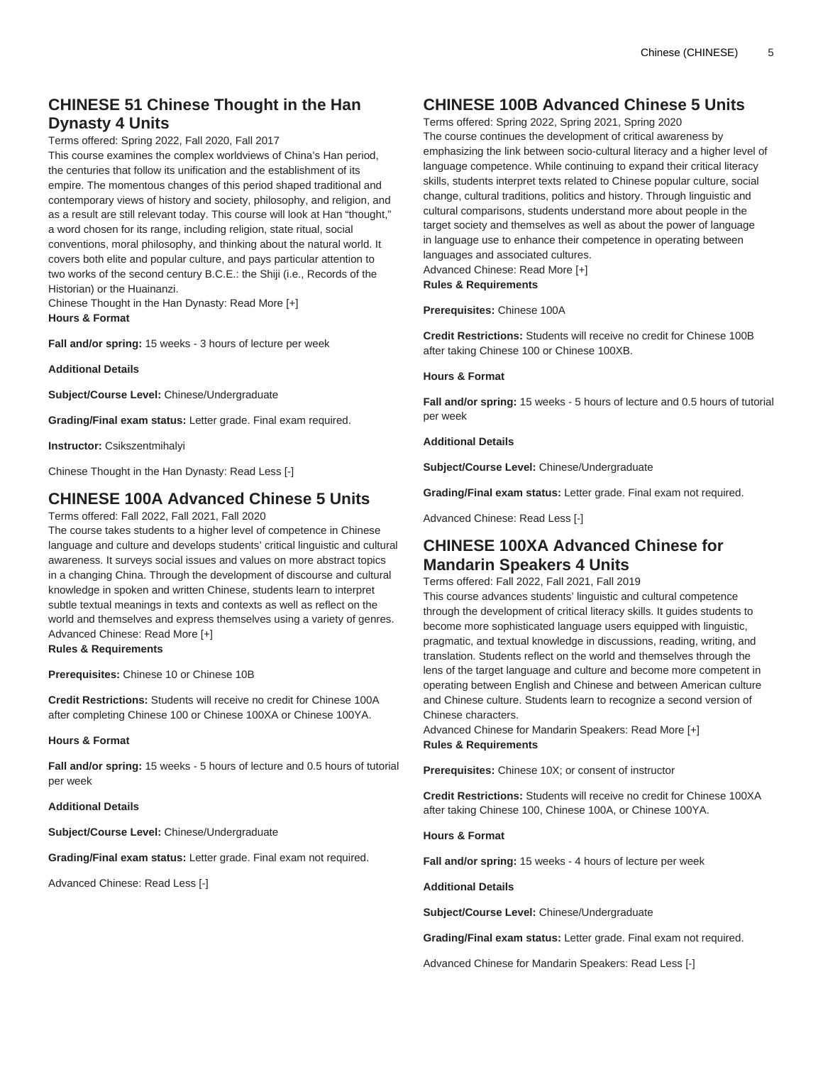# **CHINESE 51 Chinese Thought in the Han Dynasty 4 Units**

Terms offered: Spring 2022, Fall 2020, Fall 2017

This course examines the complex worldviews of China's Han period, the centuries that follow its unification and the establishment of its empire. The momentous changes of this period shaped traditional and contemporary views of history and society, philosophy, and religion, and as a result are still relevant today. This course will look at Han "thought," a word chosen for its range, including religion, state ritual, social conventions, moral philosophy, and thinking about the natural world. It covers both elite and popular culture, and pays particular attention to two works of the second century B.C.E.: the Shiji (i.e., Records of the Historian) or the Huainanzi.

Chinese Thought in the Han Dynasty: Read More [+] **Hours & Format**

**Fall and/or spring:** 15 weeks - 3 hours of lecture per week

**Additional Details**

**Subject/Course Level:** Chinese/Undergraduate

**Grading/Final exam status:** Letter grade. Final exam required.

**Instructor:** Csikszentmihalyi

Chinese Thought in the Han Dynasty: Read Less [-]

# **CHINESE 100A Advanced Chinese 5 Units**

Terms offered: Fall 2022, Fall 2021, Fall 2020

The course takes students to a higher level of competence in Chinese language and culture and develops students' critical linguistic and cultural awareness. It surveys social issues and values on more abstract topics in a changing China. Through the development of discourse and cultural knowledge in spoken and written Chinese, students learn to interpret subtle textual meanings in texts and contexts as well as reflect on the world and themselves and express themselves using a variety of genres. Advanced Chinese: Read More [+] **Rules & Requirements**

**Prerequisites:** Chinese 10 or Chinese 10B

**Credit Restrictions:** Students will receive no credit for Chinese 100A after completing Chinese 100 or Chinese 100XA or Chinese 100YA.

**Hours & Format**

**Fall and/or spring:** 15 weeks - 5 hours of lecture and 0.5 hours of tutorial per week

#### **Additional Details**

**Subject/Course Level:** Chinese/Undergraduate

**Grading/Final exam status:** Letter grade. Final exam not required.

Advanced Chinese: Read Less [-]

# **CHINESE 100B Advanced Chinese 5 Units**

Terms offered: Spring 2022, Spring 2021, Spring 2020 The course continues the development of critical awareness by emphasizing the link between socio-cultural literacy and a higher level of language competence. While continuing to expand their critical literacy skills, students interpret texts related to Chinese popular culture, social change, cultural traditions, politics and history. Through linguistic and cultural comparisons, students understand more about people in the target society and themselves as well as about the power of language in language use to enhance their competence in operating between languages and associated cultures.

Advanced Chinese: Read More [+]

**Rules & Requirements**

**Prerequisites:** Chinese 100A

**Credit Restrictions:** Students will receive no credit for Chinese 100B after taking Chinese 100 or Chinese 100XB.

### **Hours & Format**

**Fall and/or spring:** 15 weeks - 5 hours of lecture and 0.5 hours of tutorial per week

### **Additional Details**

**Subject/Course Level:** Chinese/Undergraduate

**Grading/Final exam status:** Letter grade. Final exam not required.

Advanced Chinese: Read Less [-]

### **CHINESE 100XA Advanced Chinese for Mandarin Speakers 4 Units**

Terms offered: Fall 2022, Fall 2021, Fall 2019

This course advances students' linguistic and cultural competence through the development of critical literacy skills. It guides students to become more sophisticated language users equipped with linguistic, pragmatic, and textual knowledge in discussions, reading, writing, and translation. Students reflect on the world and themselves through the lens of the target language and culture and become more competent in operating between English and Chinese and between American culture and Chinese culture. Students learn to recognize a second version of Chinese characters.

Advanced Chinese for Mandarin Speakers: Read More [+] **Rules & Requirements**

**Prerequisites:** Chinese 10X; or consent of instructor

**Credit Restrictions:** Students will receive no credit for Chinese 100XA after taking Chinese 100, Chinese 100A, or Chinese 100YA.

**Hours & Format**

**Fall and/or spring:** 15 weeks - 4 hours of lecture per week

#### **Additional Details**

**Subject/Course Level:** Chinese/Undergraduate

**Grading/Final exam status:** Letter grade. Final exam not required.

Advanced Chinese for Mandarin Speakers: Read Less [-]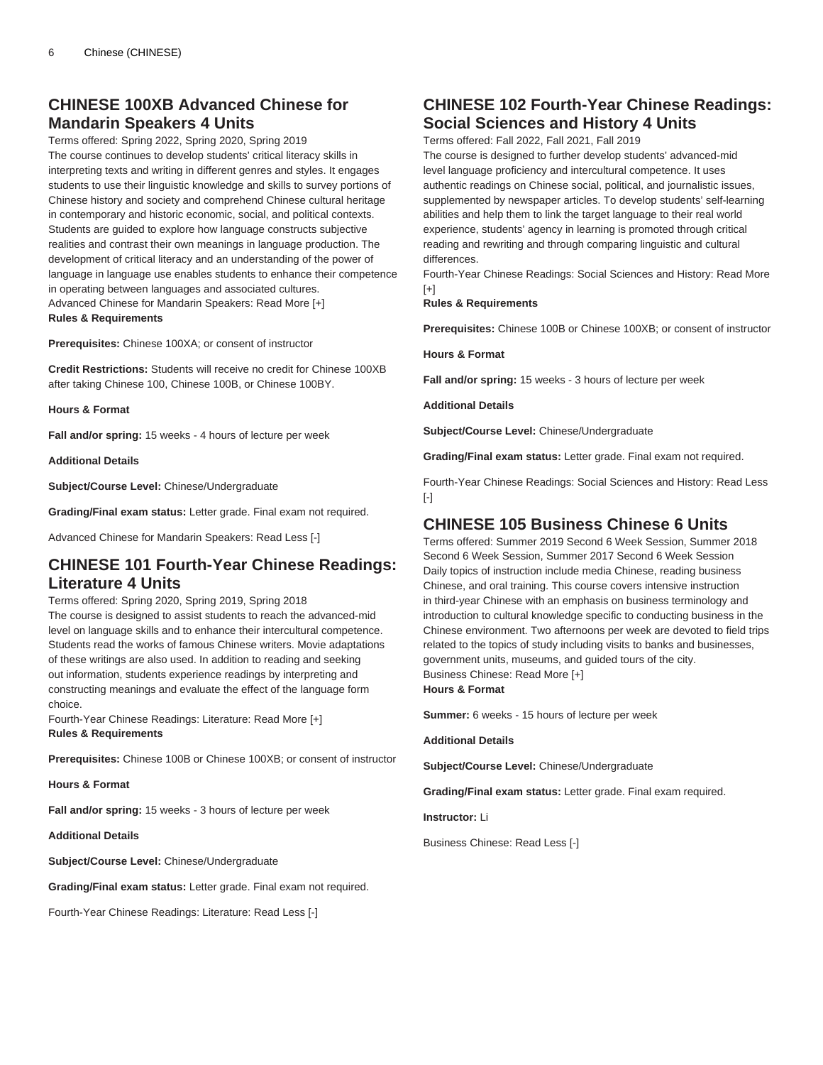# **CHINESE 100XB Advanced Chinese for Mandarin Speakers 4 Units**

Terms offered: Spring 2022, Spring 2020, Spring 2019 The course continues to develop students' critical literacy skills in interpreting texts and writing in different genres and styles. It engages students to use their linguistic knowledge and skills to survey portions of Chinese history and society and comprehend Chinese cultural heritage in contemporary and historic economic, social, and political contexts. Students are guided to explore how language constructs subjective realities and contrast their own meanings in language production. The development of critical literacy and an understanding of the power of language in language use enables students to enhance their competence in operating between languages and associated cultures. Advanced Chinese for Mandarin Speakers: Read More [+] **Rules & Requirements**

**Prerequisites:** Chinese 100XA; or consent of instructor

**Credit Restrictions:** Students will receive no credit for Chinese 100XB after taking Chinese 100, Chinese 100B, or Chinese 100BY.

**Hours & Format**

**Fall and/or spring:** 15 weeks - 4 hours of lecture per week

**Additional Details**

**Subject/Course Level:** Chinese/Undergraduate

**Grading/Final exam status:** Letter grade. Final exam not required.

Advanced Chinese for Mandarin Speakers: Read Less [-]

### **CHINESE 101 Fourth-Year Chinese Readings: Literature 4 Units**

#### Terms offered: Spring 2020, Spring 2019, Spring 2018

The course is designed to assist students to reach the advanced-mid level on language skills and to enhance their intercultural competence. Students read the works of famous Chinese writers. Movie adaptations of these writings are also used. In addition to reading and seeking out information, students experience readings by interpreting and constructing meanings and evaluate the effect of the language form choice.

Fourth-Year Chinese Readings: Literature: Read More [+] **Rules & Requirements**

**Prerequisites:** Chinese 100B or Chinese 100XB; or consent of instructor

**Hours & Format**

**Fall and/or spring:** 15 weeks - 3 hours of lecture per week

**Additional Details**

**Subject/Course Level:** Chinese/Undergraduate

**Grading/Final exam status:** Letter grade. Final exam not required.

Fourth-Year Chinese Readings: Literature: Read Less [-]

# **CHINESE 102 Fourth-Year Chinese Readings: Social Sciences and History 4 Units**

Terms offered: Fall 2022, Fall 2021, Fall 2019

The course is designed to further develop students' advanced-mid level language proficiency and intercultural competence. It uses authentic readings on Chinese social, political, and journalistic issues, supplemented by newspaper articles. To develop students' self-learning abilities and help them to link the target language to their real world experience, students' agency in learning is promoted through critical reading and rewriting and through comparing linguistic and cultural differences.

Fourth-Year Chinese Readings: Social Sciences and History: Read More  $[+]$ 

### **Rules & Requirements**

**Prerequisites:** Chinese 100B or Chinese 100XB; or consent of instructor

**Hours & Format**

**Fall and/or spring:** 15 weeks - 3 hours of lecture per week

**Additional Details**

**Subject/Course Level:** Chinese/Undergraduate

**Grading/Final exam status:** Letter grade. Final exam not required.

Fourth-Year Chinese Readings: Social Sciences and History: Read Less [-]

# **CHINESE 105 Business Chinese 6 Units**

Terms offered: Summer 2019 Second 6 Week Session, Summer 2018 Second 6 Week Session, Summer 2017 Second 6 Week Session Daily topics of instruction include media Chinese, reading business Chinese, and oral training. This course covers intensive instruction in third-year Chinese with an emphasis on business terminology and introduction to cultural knowledge specific to conducting business in the Chinese environment. Two afternoons per week are devoted to field trips related to the topics of study including visits to banks and businesses, government units, museums, and guided tours of the city. Business Chinese: Read More [+] **Hours & Format**

**Summer:** 6 weeks - 15 hours of lecture per week

**Additional Details**

**Subject/Course Level:** Chinese/Undergraduate

**Grading/Final exam status:** Letter grade. Final exam required.

**Instructor:** Li

Business Chinese: Read Less [-]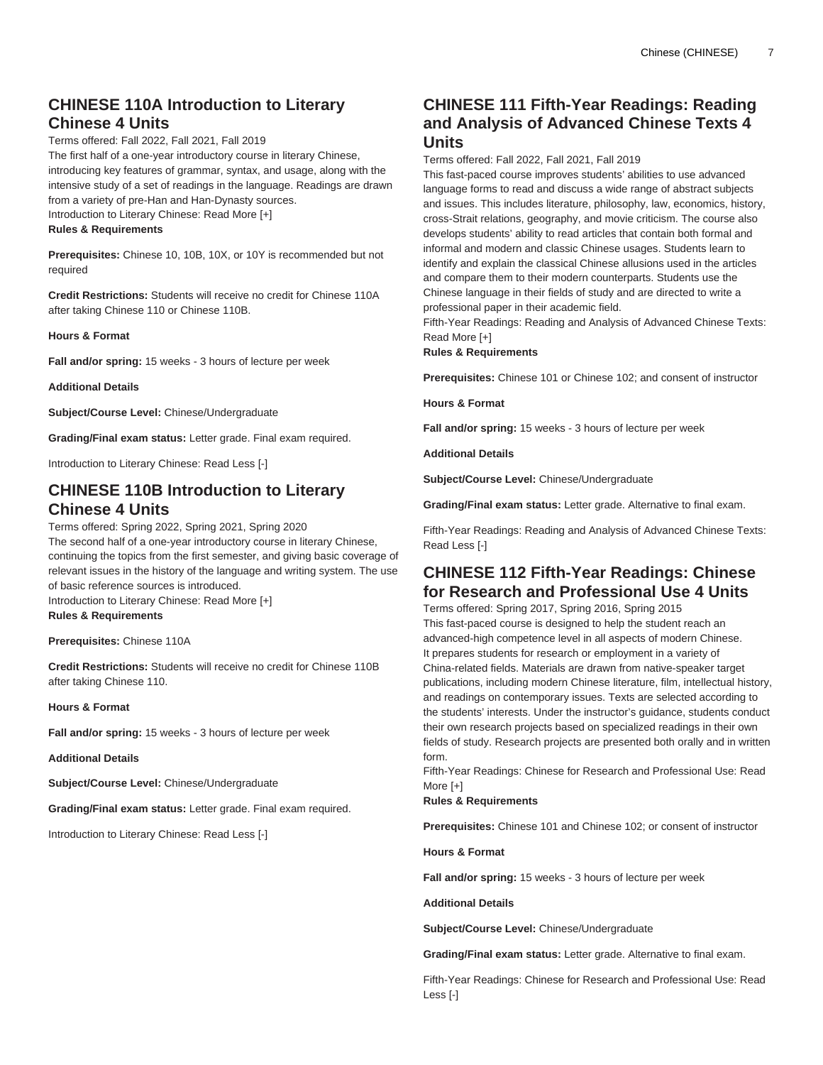# **CHINESE 110A Introduction to Literary Chinese 4 Units**

Terms offered: Fall 2022, Fall 2021, Fall 2019

The first half of a one-year introductory course in literary Chinese, introducing key features of grammar, syntax, and usage, along with the intensive study of a set of readings in the language. Readings are drawn from a variety of pre-Han and Han-Dynasty sources. Introduction to Literary Chinese: Read More [+]

### **Rules & Requirements**

**Prerequisites:** Chinese 10, 10B, 10X, or 10Y is recommended but not required

**Credit Restrictions:** Students will receive no credit for Chinese 110A after taking Chinese 110 or Chinese 110B.

**Hours & Format**

**Fall and/or spring:** 15 weeks - 3 hours of lecture per week

**Additional Details**

**Subject/Course Level:** Chinese/Undergraduate

**Grading/Final exam status:** Letter grade. Final exam required.

Introduction to Literary Chinese: Read Less [-]

# **CHINESE 110B Introduction to Literary Chinese 4 Units**

Terms offered: Spring 2022, Spring 2021, Spring 2020 The second half of a one-year introductory course in literary Chinese, continuing the topics from the first semester, and giving basic coverage of relevant issues in the history of the language and writing system. The use of basic reference sources is introduced. Introduction to Literary Chinese: Read More [+]

**Rules & Requirements**

**Prerequisites:** Chinese 110A

**Credit Restrictions:** Students will receive no credit for Chinese 110B after taking Chinese 110.

**Hours & Format**

**Fall and/or spring:** 15 weeks - 3 hours of lecture per week

**Additional Details**

**Subject/Course Level:** Chinese/Undergraduate

**Grading/Final exam status:** Letter grade. Final exam required.

Introduction to Literary Chinese: Read Less [-]

# **CHINESE 111 Fifth-Year Readings: Reading and Analysis of Advanced Chinese Texts 4 Units**

Terms offered: Fall 2022, Fall 2021, Fall 2019

This fast-paced course improves students' abilities to use advanced language forms to read and discuss a wide range of abstract subjects and issues. This includes literature, philosophy, law, economics, history, cross-Strait relations, geography, and movie criticism. The course also develops students' ability to read articles that contain both formal and informal and modern and classic Chinese usages. Students learn to identify and explain the classical Chinese allusions used in the articles and compare them to their modern counterparts. Students use the Chinese language in their fields of study and are directed to write a professional paper in their academic field.

Fifth-Year Readings: Reading and Analysis of Advanced Chinese Texts: Read More [+]

**Rules & Requirements**

**Prerequisites:** Chinese 101 or Chinese 102; and consent of instructor

**Hours & Format**

**Fall and/or spring:** 15 weeks - 3 hours of lecture per week

**Additional Details**

**Subject/Course Level:** Chinese/Undergraduate

**Grading/Final exam status:** Letter grade. Alternative to final exam.

Fifth-Year Readings: Reading and Analysis of Advanced Chinese Texts: Read Less [-]

# **CHINESE 112 Fifth-Year Readings: Chinese for Research and Professional Use 4 Units**

Terms offered: Spring 2017, Spring 2016, Spring 2015 This fast-paced course is designed to help the student reach an advanced-high competence level in all aspects of modern Chinese. It prepares students for research or employment in a variety of China-related fields. Materials are drawn from native-speaker target publications, including modern Chinese literature, film, intellectual history, and readings on contemporary issues. Texts are selected according to the students' interests. Under the instructor's guidance, students conduct their own research projects based on specialized readings in their own fields of study. Research projects are presented both orally and in written form.

Fifth-Year Readings: Chinese for Research and Professional Use: Read More [+]

**Rules & Requirements**

**Prerequisites:** Chinese 101 and Chinese 102; or consent of instructor

**Hours & Format**

**Fall and/or spring:** 15 weeks - 3 hours of lecture per week

**Additional Details**

**Subject/Course Level:** Chinese/Undergraduate

**Grading/Final exam status:** Letter grade. Alternative to final exam.

Fifth-Year Readings: Chinese for Research and Professional Use: Read Less [-]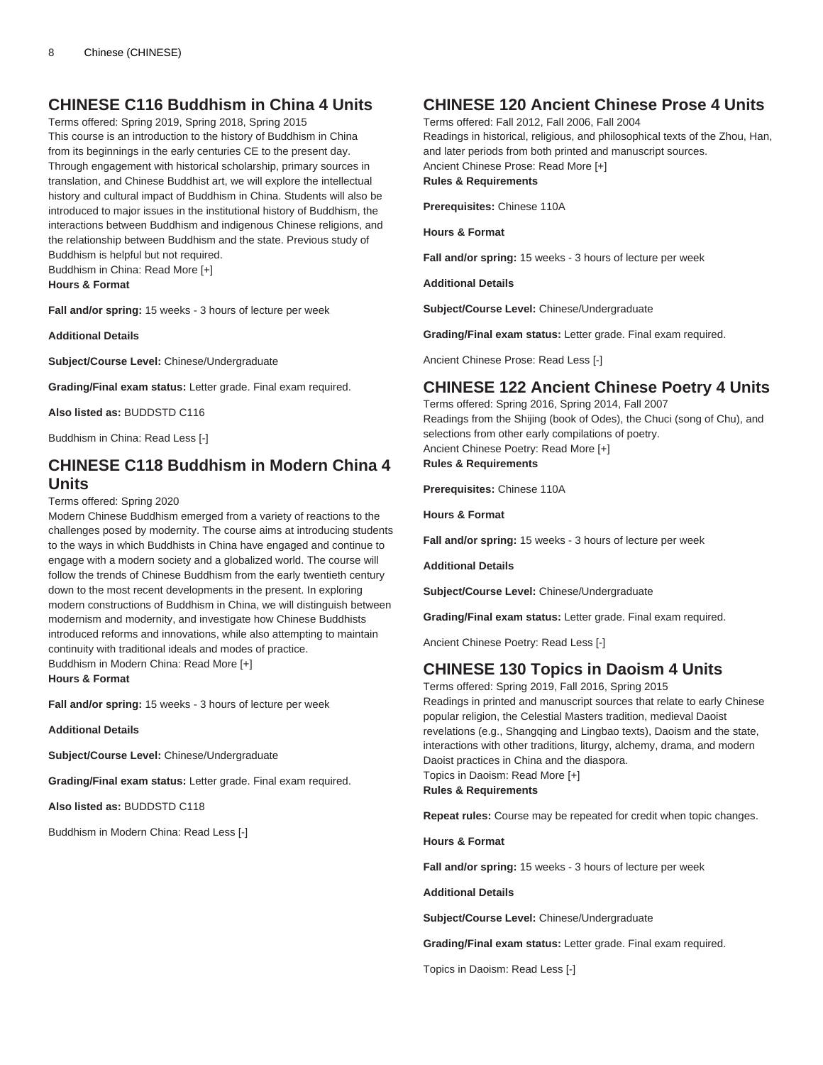# **CHINESE C116 Buddhism in China 4 Units**

Terms offered: Spring 2019, Spring 2018, Spring 2015 This course is an introduction to the history of Buddhism in China from its beginnings in the early centuries CE to the present day. Through engagement with historical scholarship, primary sources in translation, and Chinese Buddhist art, we will explore the intellectual history and cultural impact of Buddhism in China. Students will also be introduced to major issues in the institutional history of Buddhism, the interactions between Buddhism and indigenous Chinese religions, and the relationship between Buddhism and the state. Previous study of Buddhism is helpful but not required.

Buddhism in China: Read More [+]

**Hours & Format**

**Fall and/or spring:** 15 weeks - 3 hours of lecture per week

**Additional Details**

**Subject/Course Level:** Chinese/Undergraduate

**Grading/Final exam status:** Letter grade. Final exam required.

**Also listed as:** BUDDSTD C116

Buddhism in China: Read Less [-]

# **CHINESE C118 Buddhism in Modern China 4 Units**

Terms offered: Spring 2020

Modern Chinese Buddhism emerged from a variety of reactions to the challenges posed by modernity. The course aims at introducing students to the ways in which Buddhists in China have engaged and continue to engage with a modern society and a globalized world. The course will follow the trends of Chinese Buddhism from the early twentieth century down to the most recent developments in the present. In exploring modern constructions of Buddhism in China, we will distinguish between modernism and modernity, and investigate how Chinese Buddhists introduced reforms and innovations, while also attempting to maintain continuity with traditional ideals and modes of practice. Buddhism in Modern China: Read More [+]

**Hours & Format**

**Fall and/or spring:** 15 weeks - 3 hours of lecture per week

**Additional Details**

**Subject/Course Level:** Chinese/Undergraduate

**Grading/Final exam status:** Letter grade. Final exam required.

**Also listed as:** BUDDSTD C118

Buddhism in Modern China: Read Less [-]

# **CHINESE 120 Ancient Chinese Prose 4 Units**

Terms offered: Fall 2012, Fall 2006, Fall 2004 Readings in historical, religious, and philosophical texts of the Zhou, Han, and later periods from both printed and manuscript sources. Ancient Chinese Prose: Read More [+] **Rules & Requirements**

**Prerequisites:** Chinese 110A

**Hours & Format**

**Fall and/or spring:** 15 weeks - 3 hours of lecture per week

**Additional Details**

**Subject/Course Level:** Chinese/Undergraduate

**Grading/Final exam status:** Letter grade. Final exam required.

Ancient Chinese Prose: Read Less [-]

# **CHINESE 122 Ancient Chinese Poetry 4 Units**

Terms offered: Spring 2016, Spring 2014, Fall 2007 Readings from the Shijing (book of Odes), the Chuci (song of Chu), and selections from other early compilations of poetry. Ancient Chinese Poetry: Read More [+] **Rules & Requirements**

**Prerequisites:** Chinese 110A

**Hours & Format**

**Fall and/or spring:** 15 weeks - 3 hours of lecture per week

**Additional Details**

**Subject/Course Level:** Chinese/Undergraduate

**Grading/Final exam status:** Letter grade. Final exam required.

Ancient Chinese Poetry: Read Less [-]

# **CHINESE 130 Topics in Daoism 4 Units**

Terms offered: Spring 2019, Fall 2016, Spring 2015 Readings in printed and manuscript sources that relate to early Chinese popular religion, the Celestial Masters tradition, medieval Daoist revelations (e.g., Shangqing and Lingbao texts), Daoism and the state, interactions with other traditions, liturgy, alchemy, drama, and modern Daoist practices in China and the diaspora. Topics in Daoism: Read More [+] **Rules & Requirements**

**Repeat rules:** Course may be repeated for credit when topic changes.

**Hours & Format**

**Fall and/or spring:** 15 weeks - 3 hours of lecture per week

**Additional Details**

**Subject/Course Level:** Chinese/Undergraduate

**Grading/Final exam status:** Letter grade. Final exam required.

Topics in Daoism: Read Less [-]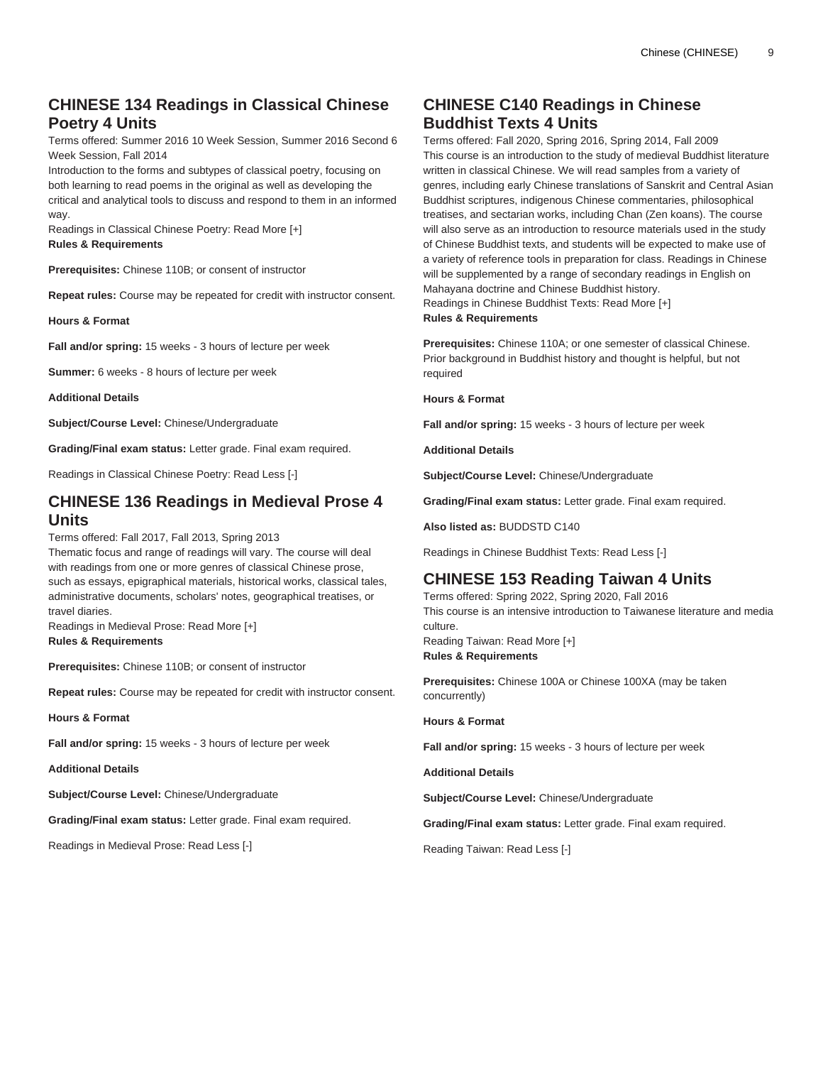# **CHINESE 134 Readings in Classical Chinese Poetry 4 Units**

Terms offered: Summer 2016 10 Week Session, Summer 2016 Second 6 Week Session, Fall 2014

Introduction to the forms and subtypes of classical poetry, focusing on both learning to read poems in the original as well as developing the critical and analytical tools to discuss and respond to them in an informed way.

Readings in Classical Chinese Poetry: Read More [+] **Rules & Requirements**

**Prerequisites:** Chinese 110B; or consent of instructor

**Repeat rules:** Course may be repeated for credit with instructor consent.

**Hours & Format**

**Fall and/or spring:** 15 weeks - 3 hours of lecture per week

**Summer:** 6 weeks - 8 hours of lecture per week

**Additional Details**

**Subject/Course Level:** Chinese/Undergraduate

**Grading/Final exam status:** Letter grade. Final exam required.

Readings in Classical Chinese Poetry: Read Less [-]

### **CHINESE 136 Readings in Medieval Prose 4 Units**

Terms offered: Fall 2017, Fall 2013, Spring 2013 Thematic focus and range of readings will vary. The course will deal with readings from one or more genres of classical Chinese prose, such as essays, epigraphical materials, historical works, classical tales, administrative documents, scholars' notes, geographical treatises, or travel diaries.

Readings in Medieval Prose: Read More [+] **Rules & Requirements**

**Prerequisites:** Chinese 110B; or consent of instructor

**Repeat rules:** Course may be repeated for credit with instructor consent.

**Hours & Format**

**Fall and/or spring:** 15 weeks - 3 hours of lecture per week

**Additional Details**

**Subject/Course Level:** Chinese/Undergraduate

**Grading/Final exam status:** Letter grade. Final exam required.

Readings in Medieval Prose: Read Less [-]

# **CHINESE C140 Readings in Chinese Buddhist Texts 4 Units**

Terms offered: Fall 2020, Spring 2016, Spring 2014, Fall 2009 This course is an introduction to the study of medieval Buddhist literature written in classical Chinese. We will read samples from a variety of genres, including early Chinese translations of Sanskrit and Central Asian Buddhist scriptures, indigenous Chinese commentaries, philosophical treatises, and sectarian works, including Chan (Zen koans). The course will also serve as an introduction to resource materials used in the study of Chinese Buddhist texts, and students will be expected to make use of a variety of reference tools in preparation for class. Readings in Chinese will be supplemented by a range of secondary readings in English on Mahayana doctrine and Chinese Buddhist history. Readings in Chinese Buddhist Texts: Read More [+] **Rules & Requirements**

**Prerequisites:** Chinese 110A; or one semester of classical Chinese. Prior background in Buddhist history and thought is helpful, but not required

**Hours & Format**

**Fall and/or spring:** 15 weeks - 3 hours of lecture per week

**Additional Details**

**Subject/Course Level:** Chinese/Undergraduate

**Grading/Final exam status:** Letter grade. Final exam required.

**Also listed as:** BUDDSTD C140

Readings in Chinese Buddhist Texts: Read Less [-]

# **CHINESE 153 Reading Taiwan 4 Units**

Terms offered: Spring 2022, Spring 2020, Fall 2016 This course is an intensive introduction to Taiwanese literature and media culture. Reading Taiwan: Read More [+] **Rules & Requirements**

**Prerequisites:** Chinese 100A or Chinese 100XA (may be taken concurrently)

**Hours & Format**

**Fall and/or spring:** 15 weeks - 3 hours of lecture per week

**Additional Details**

**Subject/Course Level:** Chinese/Undergraduate

**Grading/Final exam status:** Letter grade. Final exam required.

Reading Taiwan: Read Less [-]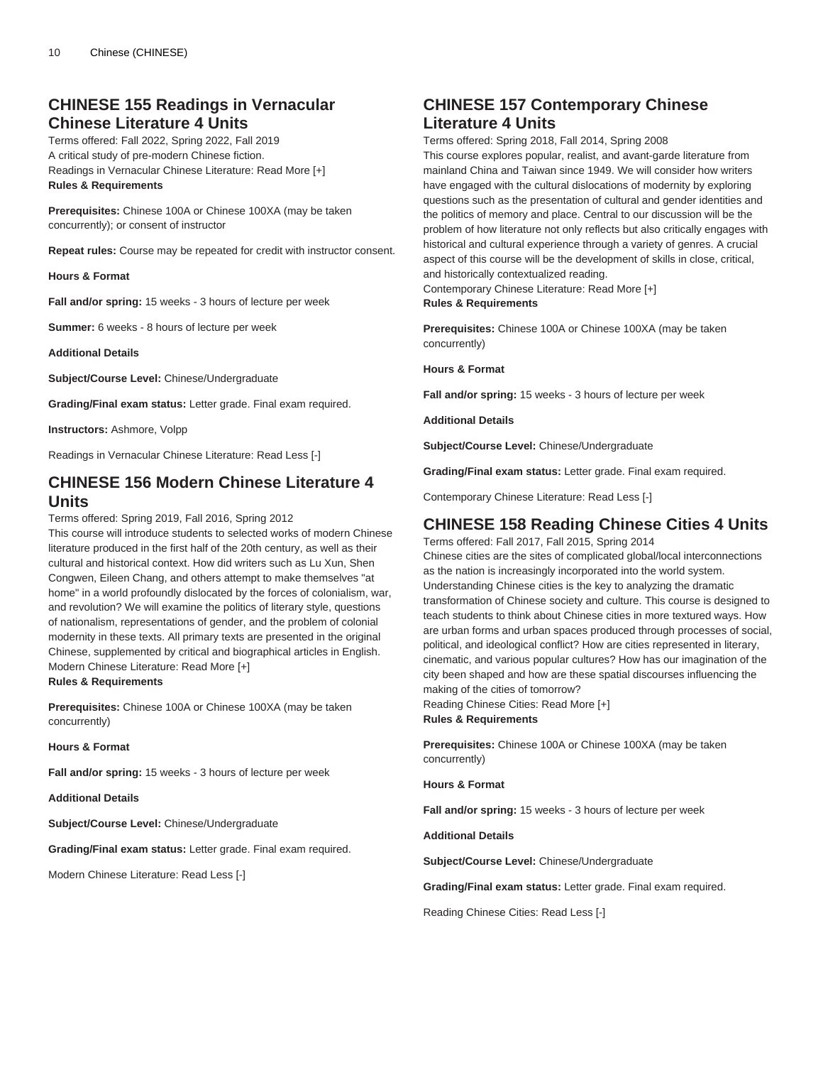# **CHINESE 155 Readings in Vernacular Chinese Literature 4 Units**

Terms offered: Fall 2022, Spring 2022, Fall 2019 A critical study of pre-modern Chinese fiction. Readings in Vernacular Chinese Literature: Read More [+] **Rules & Requirements**

**Prerequisites:** Chinese 100A or Chinese 100XA (may be taken concurrently); or consent of instructor

**Repeat rules:** Course may be repeated for credit with instructor consent.

**Hours & Format**

**Fall and/or spring:** 15 weeks - 3 hours of lecture per week

**Summer:** 6 weeks - 8 hours of lecture per week

**Additional Details**

**Subject/Course Level:** Chinese/Undergraduate

**Grading/Final exam status:** Letter grade. Final exam required.

**Instructors:** Ashmore, Volpp

Readings in Vernacular Chinese Literature: Read Less [-]

### **CHINESE 156 Modern Chinese Literature 4 Units**

Terms offered: Spring 2019, Fall 2016, Spring 2012

This course will introduce students to selected works of modern Chinese literature produced in the first half of the 20th century, as well as their cultural and historical context. How did writers such as Lu Xun, Shen Congwen, Eileen Chang, and others attempt to make themselves "at home" in a world profoundly dislocated by the forces of colonialism, war, and revolution? We will examine the politics of literary style, questions of nationalism, representations of gender, and the problem of colonial modernity in these texts. All primary texts are presented in the original Chinese, supplemented by critical and biographical articles in English. Modern Chinese Literature: Read More [+] **Rules & Requirements**

**Prerequisites:** Chinese 100A or Chinese 100XA (may be taken concurrently)

**Hours & Format**

**Fall and/or spring:** 15 weeks - 3 hours of lecture per week

**Additional Details**

**Subject/Course Level:** Chinese/Undergraduate

**Grading/Final exam status:** Letter grade. Final exam required.

Modern Chinese Literature: Read Less [-]

### **CHINESE 157 Contemporary Chinese Literature 4 Units**

Terms offered: Spring 2018, Fall 2014, Spring 2008

This course explores popular, realist, and avant-garde literature from mainland China and Taiwan since 1949. We will consider how writers have engaged with the cultural dislocations of modernity by exploring questions such as the presentation of cultural and gender identities and the politics of memory and place. Central to our discussion will be the problem of how literature not only reflects but also critically engages with historical and cultural experience through a variety of genres. A crucial aspect of this course will be the development of skills in close, critical, and historically contextualized reading.

Contemporary Chinese Literature: Read More [+]

### **Rules & Requirements**

**Prerequisites:** Chinese 100A or Chinese 100XA (may be taken concurrently)

**Hours & Format**

**Fall and/or spring:** 15 weeks - 3 hours of lecture per week

**Additional Details**

**Subject/Course Level:** Chinese/Undergraduate

**Grading/Final exam status:** Letter grade. Final exam required.

Contemporary Chinese Literature: Read Less [-]

# **CHINESE 158 Reading Chinese Cities 4 Units**

Terms offered: Fall 2017, Fall 2015, Spring 2014 Chinese cities are the sites of complicated global/local interconnections as the nation is increasingly incorporated into the world system. Understanding Chinese cities is the key to analyzing the dramatic transformation of Chinese society and culture. This course is designed to teach students to think about Chinese cities in more textured ways. How are urban forms and urban spaces produced through processes of social, political, and ideological conflict? How are cities represented in literary, cinematic, and various popular cultures? How has our imagination of the city been shaped and how are these spatial discourses influencing the making of the cities of tomorrow?

Reading Chinese Cities: Read More [+] **Rules & Requirements**

**Prerequisites:** Chinese 100A or Chinese 100XA (may be taken concurrently)

**Hours & Format**

**Fall and/or spring:** 15 weeks - 3 hours of lecture per week

**Additional Details**

**Subject/Course Level:** Chinese/Undergraduate

**Grading/Final exam status:** Letter grade. Final exam required.

Reading Chinese Cities: Read Less [-]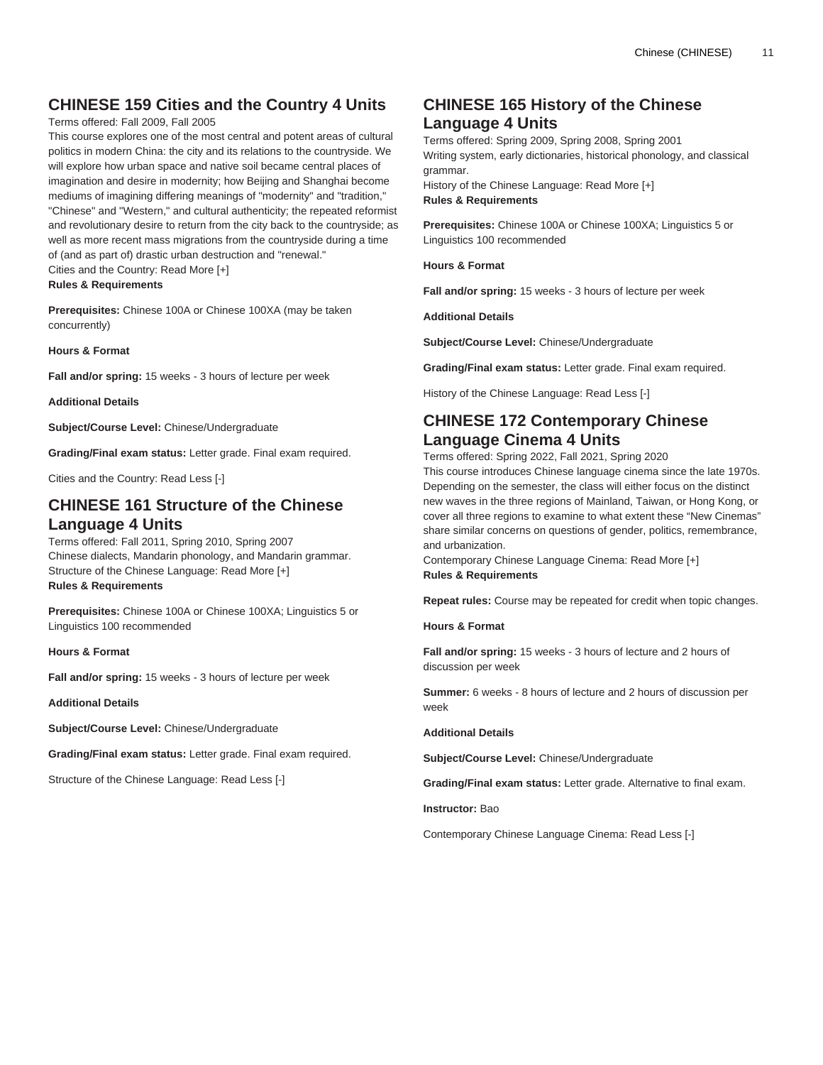# **CHINESE 159 Cities and the Country 4 Units**

### Terms offered: Fall 2009, Fall 2005

This course explores one of the most central and potent areas of cultural politics in modern China: the city and its relations to the countryside. We will explore how urban space and native soil became central places of imagination and desire in modernity; how Beijing and Shanghai become mediums of imagining differing meanings of "modernity" and "tradition," "Chinese" and "Western," and cultural authenticity; the repeated reformist and revolutionary desire to return from the city back to the countryside; as well as more recent mass migrations from the countryside during a time of (and as part of) drastic urban destruction and "renewal." Cities and the Country: Read More [+]

### **Rules & Requirements**

**Prerequisites:** Chinese 100A or Chinese 100XA (may be taken concurrently)

**Hours & Format**

**Fall and/or spring:** 15 weeks - 3 hours of lecture per week

**Additional Details**

**Subject/Course Level:** Chinese/Undergraduate

**Grading/Final exam status:** Letter grade. Final exam required.

Cities and the Country: Read Less [-]

### **CHINESE 161 Structure of the Chinese Language 4 Units**

Terms offered: Fall 2011, Spring 2010, Spring 2007 Chinese dialects, Mandarin phonology, and Mandarin grammar. Structure of the Chinese Language: Read More [+] **Rules & Requirements**

**Prerequisites:** Chinese 100A or Chinese 100XA; Linguistics 5 or Linguistics 100 recommended

**Hours & Format**

**Fall and/or spring:** 15 weeks - 3 hours of lecture per week

**Additional Details**

**Subject/Course Level:** Chinese/Undergraduate

**Grading/Final exam status:** Letter grade. Final exam required.

Structure of the Chinese Language: Read Less [-]

# **CHINESE 165 History of the Chinese Language 4 Units**

Terms offered: Spring 2009, Spring 2008, Spring 2001 Writing system, early dictionaries, historical phonology, and classical grammar. History of the Chinese Language: Read More [+] **Rules & Requirements**

**Prerequisites:** Chinese 100A or Chinese 100XA; Linguistics 5 or Linguistics 100 recommended

**Hours & Format**

**Fall and/or spring:** 15 weeks - 3 hours of lecture per week

**Additional Details**

**Subject/Course Level:** Chinese/Undergraduate

**Grading/Final exam status:** Letter grade. Final exam required.

History of the Chinese Language: Read Less [-]

# **CHINESE 172 Contemporary Chinese Language Cinema 4 Units**

Terms offered: Spring 2022, Fall 2021, Spring 2020 This course introduces Chinese language cinema since the late 1970s. Depending on the semester, the class will either focus on the distinct new waves in the three regions of Mainland, Taiwan, or Hong Kong, or cover all three regions to examine to what extent these "New Cinemas" share similar concerns on questions of gender, politics, remembrance, and urbanization.

Contemporary Chinese Language Cinema: Read More [+] **Rules & Requirements**

**Repeat rules:** Course may be repeated for credit when topic changes.

**Hours & Format**

**Fall and/or spring:** 15 weeks - 3 hours of lecture and 2 hours of discussion per week

**Summer:** 6 weeks - 8 hours of lecture and 2 hours of discussion per week

**Additional Details**

**Subject/Course Level:** Chinese/Undergraduate

**Grading/Final exam status:** Letter grade. Alternative to final exam.

**Instructor:** Bao

Contemporary Chinese Language Cinema: Read Less [-]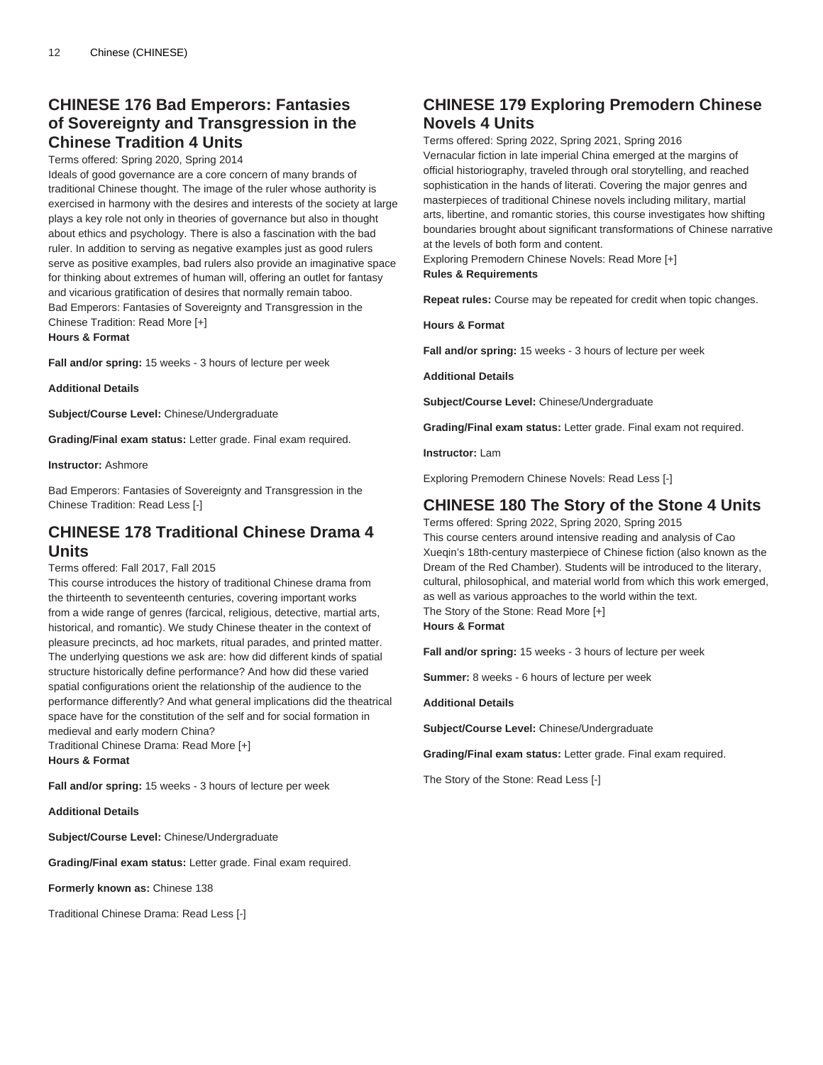# **CHINESE 176 Bad Emperors: Fantasies of Sovereignty and Transgression in the Chinese Tradition 4 Units**

### Terms offered: Spring 2020, Spring 2014

Ideals of good governance are a core concern of many brands of traditional Chinese thought. The image of the ruler whose authority is exercised in harmony with the desires and interests of the society at large plays a key role not only in theories of governance but also in thought about ethics and psychology. There is also a fascination with the bad ruler. In addition to serving as negative examples just as good rulers serve as positive examples, bad rulers also provide an imaginative space for thinking about extremes of human will, offering an outlet for fantasy and vicarious gratification of desires that normally remain taboo. Bad Emperors: Fantasies of Sovereignty and Transgression in the Chinese Tradition: Read More [+]

**Hours & Format**

**Fall and/or spring:** 15 weeks - 3 hours of lecture per week

**Additional Details**

**Subject/Course Level:** Chinese/Undergraduate

**Grading/Final exam status:** Letter grade. Final exam required.

### **Instructor:** Ashmore

Bad Emperors: Fantasies of Sovereignty and Transgression in the Chinese Tradition: Read Less [-]

# **CHINESE 178 Traditional Chinese Drama 4 Units**

Terms offered: Fall 2017, Fall 2015

This course introduces the history of traditional Chinese drama from the thirteenth to seventeenth centuries, covering important works from a wide range of genres (farcical, religious, detective, martial arts, historical, and romantic). We study Chinese theater in the context of pleasure precincts, ad hoc markets, ritual parades, and printed matter. The underlying questions we ask are: how did different kinds of spatial structure historically define performance? And how did these varied spatial configurations orient the relationship of the audience to the performance differently? And what general implications did the theatrical space have for the constitution of the self and for social formation in medieval and early modern China?

Traditional Chinese Drama: Read More [+] **Hours & Format**

**Fall and/or spring:** 15 weeks - 3 hours of lecture per week

**Additional Details**

**Subject/Course Level:** Chinese/Undergraduate

**Grading/Final exam status:** Letter grade. Final exam required.

**Formerly known as:** Chinese 138

Traditional Chinese Drama: Read Less [-]

# **CHINESE 179 Exploring Premodern Chinese Novels 4 Units**

Terms offered: Spring 2022, Spring 2021, Spring 2016 Vernacular fiction in late imperial China emerged at the margins of official historiography, traveled through oral storytelling, and reached sophistication in the hands of literati. Covering the major genres and masterpieces of traditional Chinese novels including military, martial arts, libertine, and romantic stories, this course investigates how shifting boundaries brought about significant transformations of Chinese narrative at the levels of both form and content.

Exploring Premodern Chinese Novels: Read More [+] **Rules & Requirements**

**Repeat rules:** Course may be repeated for credit when topic changes.

**Hours & Format**

**Fall and/or spring:** 15 weeks - 3 hours of lecture per week

**Additional Details**

**Subject/Course Level:** Chinese/Undergraduate

**Grading/Final exam status:** Letter grade. Final exam not required.

**Instructor:** Lam

Exploring Premodern Chinese Novels: Read Less [-]

### **CHINESE 180 The Story of the Stone 4 Units**

Terms offered: Spring 2022, Spring 2020, Spring 2015 This course centers around intensive reading and analysis of Cao Xueqin's 18th-century masterpiece of Chinese fiction (also known as the Dream of the Red Chamber). Students will be introduced to the literary, cultural, philosophical, and material world from which this work emerged, as well as various approaches to the world within the text. The Story of the Stone: Read More [+] **Hours & Format**

**Fall and/or spring:** 15 weeks - 3 hours of lecture per week

**Summer:** 8 weeks - 6 hours of lecture per week

**Additional Details**

**Subject/Course Level:** Chinese/Undergraduate

**Grading/Final exam status:** Letter grade. Final exam required.

The Story of the Stone: Read Less [-]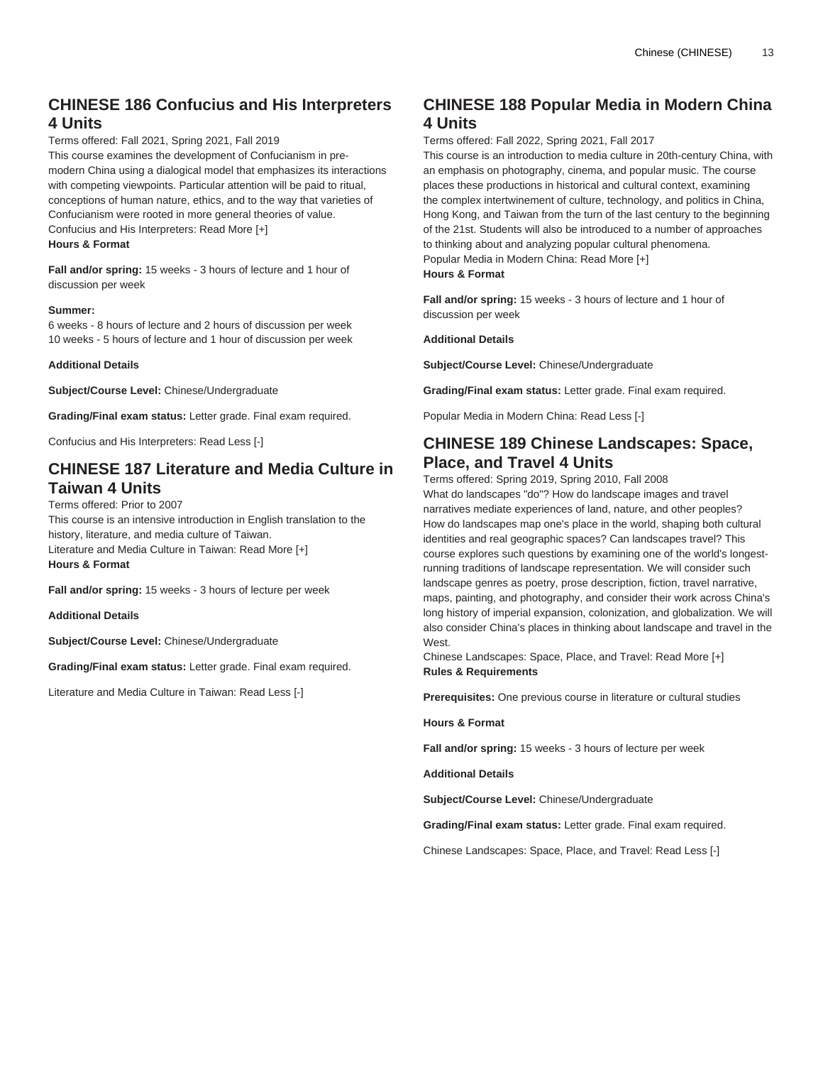# **CHINESE 186 Confucius and His Interpreters 4 Units**

Terms offered: Fall 2021, Spring 2021, Fall 2019

This course examines the development of Confucianism in premodern China using a dialogical model that emphasizes its interactions with competing viewpoints. Particular attention will be paid to ritual, conceptions of human nature, ethics, and to the way that varieties of Confucianism were rooted in more general theories of value. Confucius and His Interpreters: Read More [+] **Hours & Format**

**Fall and/or spring:** 15 weeks - 3 hours of lecture and 1 hour of discussion per week

### **Summer:**

6 weeks - 8 hours of lecture and 2 hours of discussion per week 10 weeks - 5 hours of lecture and 1 hour of discussion per week

### **Additional Details**

**Subject/Course Level:** Chinese/Undergraduate

**Grading/Final exam status:** Letter grade. Final exam required.

Confucius and His Interpreters: Read Less [-]

# **CHINESE 187 Literature and Media Culture in Taiwan 4 Units**

### Terms offered: Prior to 2007

This course is an intensive introduction in English translation to the history, literature, and media culture of Taiwan. Literature and Media Culture in Taiwan: Read More [+] **Hours & Format**

**Fall and/or spring:** 15 weeks - 3 hours of lecture per week

**Additional Details**

**Subject/Course Level:** Chinese/Undergraduate

**Grading/Final exam status:** Letter grade. Final exam required.

Literature and Media Culture in Taiwan: Read Less [-]

# **CHINESE 188 Popular Media in Modern China 4 Units**

Terms offered: Fall 2022, Spring 2021, Fall 2017

This course is an introduction to media culture in 20th-century China, with an emphasis on photography, cinema, and popular music. The course places these productions in historical and cultural context, examining the complex intertwinement of culture, technology, and politics in China, Hong Kong, and Taiwan from the turn of the last century to the beginning of the 21st. Students will also be introduced to a number of approaches to thinking about and analyzing popular cultural phenomena. Popular Media in Modern China: Read More [+] **Hours & Format**

**Fall and/or spring:** 15 weeks - 3 hours of lecture and 1 hour of discussion per week

#### **Additional Details**

**Subject/Course Level:** Chinese/Undergraduate

**Grading/Final exam status:** Letter grade. Final exam required.

Popular Media in Modern China: Read Less [-]

### **CHINESE 189 Chinese Landscapes: Space, Place, and Travel 4 Units**

Terms offered: Spring 2019, Spring 2010, Fall 2008 What do landscapes "do"? How do landscape images and travel narratives mediate experiences of land, nature, and other peoples? How do landscapes map one's place in the world, shaping both cultural identities and real geographic spaces? Can landscapes travel? This course explores such questions by examining one of the world's longestrunning traditions of landscape representation. We will consider such landscape genres as poetry, prose description, fiction, travel narrative, maps, painting, and photography, and consider their work across China's long history of imperial expansion, colonization, and globalization. We will also consider China's places in thinking about landscape and travel in the West.

Chinese Landscapes: Space, Place, and Travel: Read More [+] **Rules & Requirements**

**Prerequisites:** One previous course in literature or cultural studies

**Hours & Format**

**Fall and/or spring:** 15 weeks - 3 hours of lecture per week

**Additional Details**

**Subject/Course Level:** Chinese/Undergraduate

**Grading/Final exam status:** Letter grade. Final exam required.

Chinese Landscapes: Space, Place, and Travel: Read Less [-]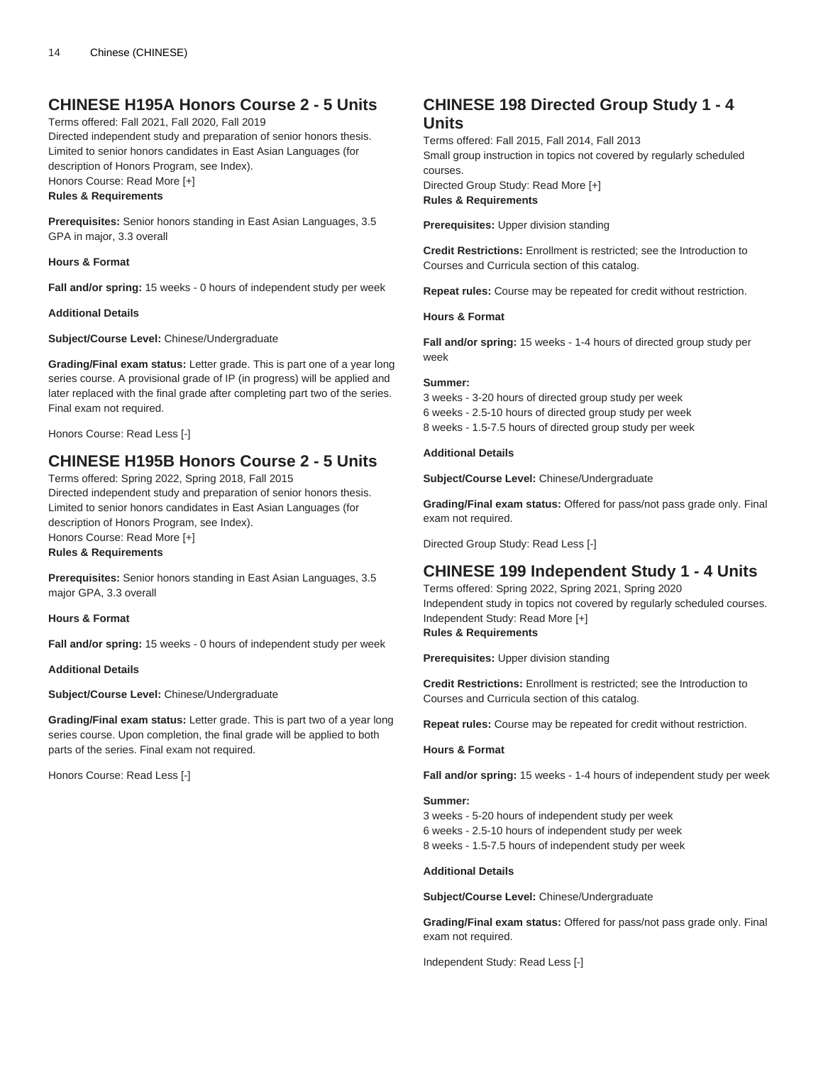# **CHINESE H195A Honors Course 2 - 5 Units**

Terms offered: Fall 2021, Fall 2020, Fall 2019

Directed independent study and preparation of senior honors thesis. Limited to senior honors candidates in East Asian Languages (for description of Honors Program, see Index). Honors Course: Read More [+]

### **Rules & Requirements**

**Prerequisites:** Senior honors standing in East Asian Languages, 3.5 GPA in major, 3.3 overall

**Hours & Format**

**Fall and/or spring:** 15 weeks - 0 hours of independent study per week

**Additional Details**

**Subject/Course Level:** Chinese/Undergraduate

**Grading/Final exam status:** Letter grade. This is part one of a year long series course. A provisional grade of IP (in progress) will be applied and later replaced with the final grade after completing part two of the series. Final exam not required.

Honors Course: Read Less [-]

### **CHINESE H195B Honors Course 2 - 5 Units**

Terms offered: Spring 2022, Spring 2018, Fall 2015 Directed independent study and preparation of senior honors thesis. Limited to senior honors candidates in East Asian Languages (for description of Honors Program, see Index).

Honors Course: Read More [+] **Rules & Requirements**

**Prerequisites:** Senior honors standing in East Asian Languages, 3.5 major GPA, 3.3 overall

**Hours & Format**

**Fall and/or spring:** 15 weeks - 0 hours of independent study per week

**Additional Details**

**Subject/Course Level:** Chinese/Undergraduate

**Grading/Final exam status:** Letter grade. This is part two of a year long series course. Upon completion, the final grade will be applied to both parts of the series. Final exam not required.

Honors Course: Read Less [-]

# **CHINESE 198 Directed Group Study 1 - 4 Units**

Terms offered: Fall 2015, Fall 2014, Fall 2013 Small group instruction in topics not covered by regularly scheduled courses. Directed Group Study: Read More [+] **Rules & Requirements**

**Prerequisites:** Upper division standing

**Credit Restrictions:** Enrollment is restricted; see the Introduction to Courses and Curricula section of this catalog.

**Repeat rules:** Course may be repeated for credit without restriction.

### **Hours & Format**

**Fall and/or spring:** 15 weeks - 1-4 hours of directed group study per week

#### **Summer:**

3 weeks - 3-20 hours of directed group study per week 6 weeks - 2.5-10 hours of directed group study per week 8 weeks - 1.5-7.5 hours of directed group study per week

### **Additional Details**

**Subject/Course Level:** Chinese/Undergraduate

**Grading/Final exam status:** Offered for pass/not pass grade only. Final exam not required.

Directed Group Study: Read Less [-]

### **CHINESE 199 Independent Study 1 - 4 Units**

Terms offered: Spring 2022, Spring 2021, Spring 2020 Independent study in topics not covered by regularly scheduled courses. Independent Study: Read More [+] **Rules & Requirements**

**Prerequisites:** Upper division standing

**Credit Restrictions:** Enrollment is restricted; see the Introduction to Courses and Curricula section of this catalog.

**Repeat rules:** Course may be repeated for credit without restriction.

#### **Hours & Format**

**Fall and/or spring:** 15 weeks - 1-4 hours of independent study per week

#### **Summer:**

3 weeks - 5-20 hours of independent study per week

- 6 weeks 2.5-10 hours of independent study per week
- 8 weeks 1.5-7.5 hours of independent study per week

### **Additional Details**

**Subject/Course Level:** Chinese/Undergraduate

**Grading/Final exam status:** Offered for pass/not pass grade only. Final exam not required.

Independent Study: Read Less [-]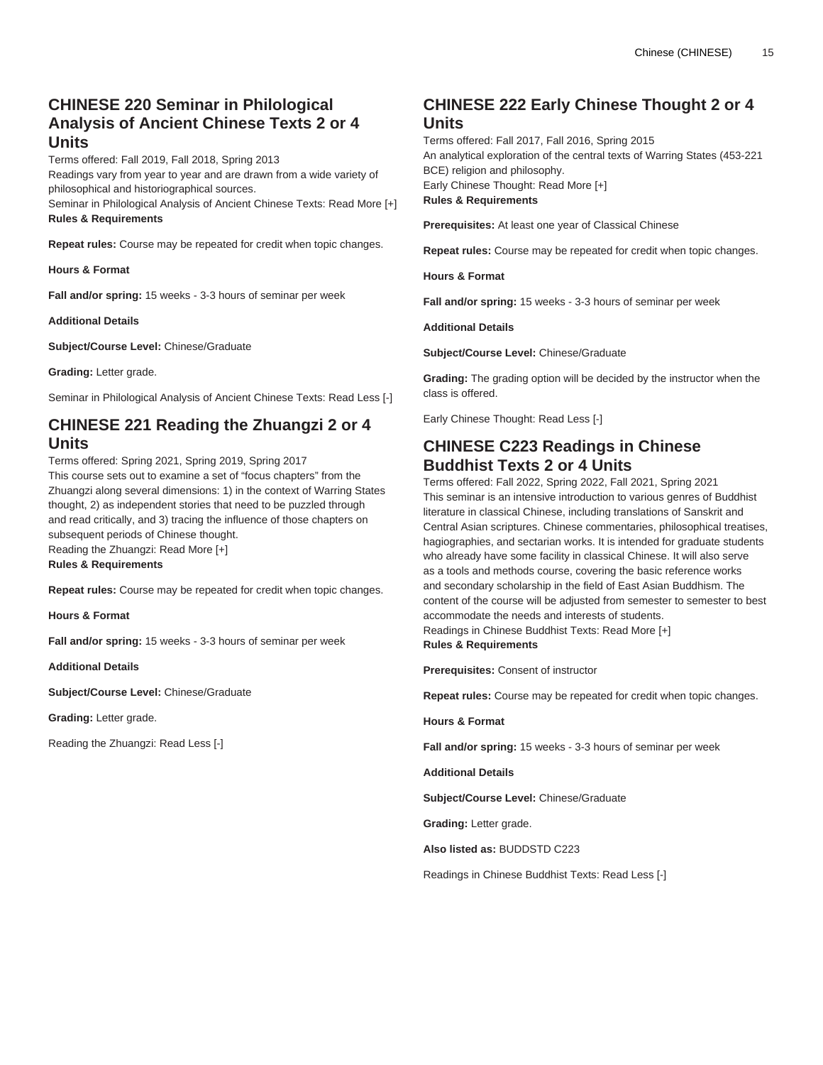# **CHINESE 220 Seminar in Philological Analysis of Ancient Chinese Texts 2 or 4 Units**

Terms offered: Fall 2019, Fall 2018, Spring 2013 Readings vary from year to year and are drawn from a wide variety of philosophical and historiographical sources.

Seminar in Philological Analysis of Ancient Chinese Texts: Read More [+] **Rules & Requirements**

**Repeat rules:** Course may be repeated for credit when topic changes.

**Hours & Format**

**Fall and/or spring:** 15 weeks - 3-3 hours of seminar per week

**Additional Details**

**Subject/Course Level:** Chinese/Graduate

**Grading:** Letter grade.

Seminar in Philological Analysis of Ancient Chinese Texts: Read Less [-]

# **CHINESE 221 Reading the Zhuangzi 2 or 4 Units**

Terms offered: Spring 2021, Spring 2019, Spring 2017 This course sets out to examine a set of "focus chapters" from the Zhuangzi along several dimensions: 1) in the context of Warring States thought, 2) as independent stories that need to be puzzled through and read critically, and 3) tracing the influence of those chapters on subsequent periods of Chinese thought. Reading the Zhuangzi: Read More [+] **Rules & Requirements**

**Repeat rules:** Course may be repeated for credit when topic changes.

**Hours & Format**

**Fall and/or spring:** 15 weeks - 3-3 hours of seminar per week

**Additional Details**

**Subject/Course Level:** Chinese/Graduate

**Grading:** Letter grade.

Reading the Zhuangzi: Read Less [-]

# **CHINESE 222 Early Chinese Thought 2 or 4 Units**

Terms offered: Fall 2017, Fall 2016, Spring 2015 An analytical exploration of the central texts of Warring States (453-221 BCE) religion and philosophy. Early Chinese Thought: Read More [+] **Rules & Requirements**

**Prerequisites:** At least one year of Classical Chinese

**Repeat rules:** Course may be repeated for credit when topic changes.

**Hours & Format**

**Fall and/or spring:** 15 weeks - 3-3 hours of seminar per week

**Additional Details**

**Subject/Course Level:** Chinese/Graduate

**Grading:** The grading option will be decided by the instructor when the class is offered.

Early Chinese Thought: Read Less [-]

# **CHINESE C223 Readings in Chinese Buddhist Texts 2 or 4 Units**

Terms offered: Fall 2022, Spring 2022, Fall 2021, Spring 2021 This seminar is an intensive introduction to various genres of Buddhist literature in classical Chinese, including translations of Sanskrit and Central Asian scriptures. Chinese commentaries, philosophical treatises, hagiographies, and sectarian works. It is intended for graduate students who already have some facility in classical Chinese. It will also serve as a tools and methods course, covering the basic reference works and secondary scholarship in the field of East Asian Buddhism. The content of the course will be adjusted from semester to semester to best accommodate the needs and interests of students. Readings in Chinese Buddhist Texts: Read More [+] **Rules & Requirements**

**Prerequisites:** Consent of instructor

**Repeat rules:** Course may be repeated for credit when topic changes.

**Hours & Format**

**Fall and/or spring:** 15 weeks - 3-3 hours of seminar per week

**Additional Details**

**Subject/Course Level:** Chinese/Graduate

**Grading:** Letter grade.

**Also listed as:** BUDDSTD C223

Readings in Chinese Buddhist Texts: Read Less [-]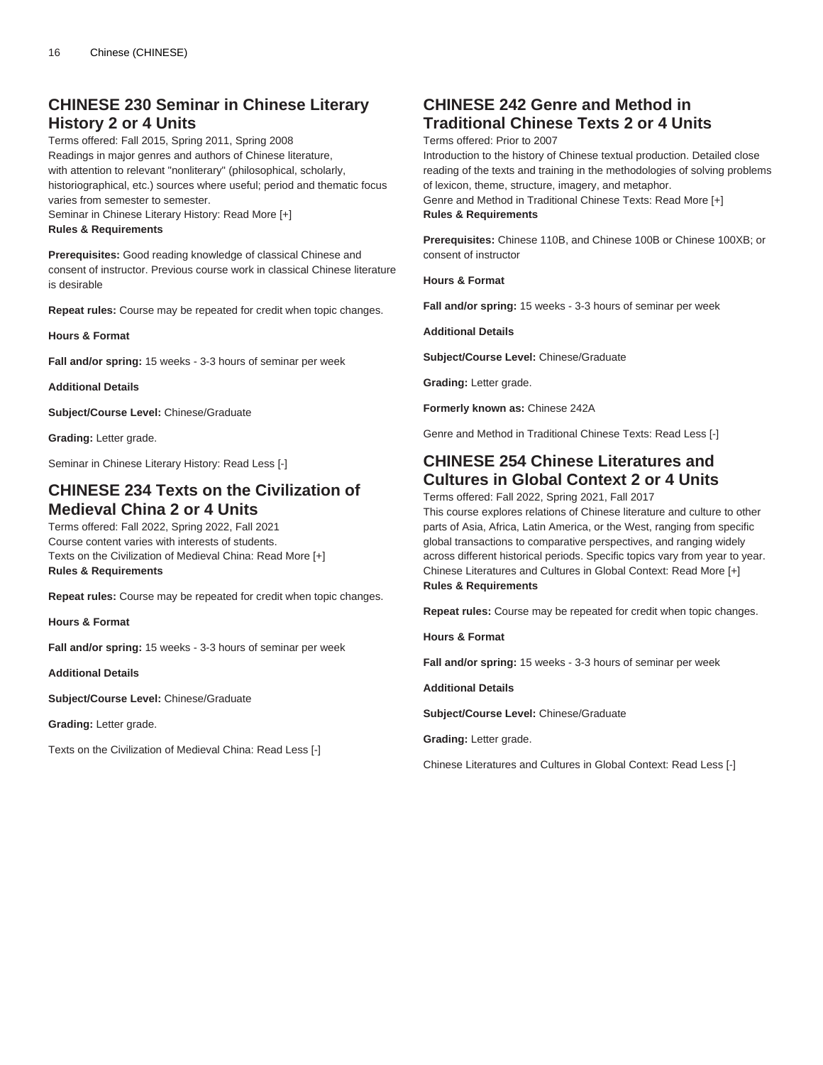# **CHINESE 230 Seminar in Chinese Literary History 2 or 4 Units**

Terms offered: Fall 2015, Spring 2011, Spring 2008 Readings in major genres and authors of Chinese literature, with attention to relevant "nonliterary" (philosophical, scholarly, historiographical, etc.) sources where useful; period and thematic focus varies from semester to semester. Seminar in Chinese Literary History: Read More [+]

**Rules & Requirements**

**Prerequisites:** Good reading knowledge of classical Chinese and consent of instructor. Previous course work in classical Chinese literature is desirable

**Repeat rules:** Course may be repeated for credit when topic changes.

**Hours & Format**

**Fall and/or spring:** 15 weeks - 3-3 hours of seminar per week

**Additional Details**

**Subject/Course Level:** Chinese/Graduate

**Grading:** Letter grade.

Seminar in Chinese Literary History: Read Less [-]

# **CHINESE 234 Texts on the Civilization of Medieval China 2 or 4 Units**

Terms offered: Fall 2022, Spring 2022, Fall 2021 Course content varies with interests of students. Texts on the Civilization of Medieval China: Read More [+] **Rules & Requirements**

**Repeat rules:** Course may be repeated for credit when topic changes.

**Hours & Format**

**Fall and/or spring:** 15 weeks - 3-3 hours of seminar per week

**Additional Details**

**Subject/Course Level:** Chinese/Graduate

**Grading:** Letter grade.

Texts on the Civilization of Medieval China: Read Less [-]

# **CHINESE 242 Genre and Method in Traditional Chinese Texts 2 or 4 Units**

Terms offered: Prior to 2007

Introduction to the history of Chinese textual production. Detailed close reading of the texts and training in the methodologies of solving problems of lexicon, theme, structure, imagery, and metaphor.

Genre and Method in Traditional Chinese Texts: Read More [+] **Rules & Requirements**

**Prerequisites:** Chinese 110B, and Chinese 100B or Chinese 100XB; or consent of instructor

**Hours & Format**

**Fall and/or spring:** 15 weeks - 3-3 hours of seminar per week

**Additional Details**

**Subject/Course Level:** Chinese/Graduate

**Grading:** Letter grade.

**Formerly known as:** Chinese 242A

Genre and Method in Traditional Chinese Texts: Read Less [-]

### **CHINESE 254 Chinese Literatures and Cultures in Global Context 2 or 4 Units**

Terms offered: Fall 2022, Spring 2021, Fall 2017

This course explores relations of Chinese literature and culture to other parts of Asia, Africa, Latin America, or the West, ranging from specific global transactions to comparative perspectives, and ranging widely across different historical periods. Specific topics vary from year to year. Chinese Literatures and Cultures in Global Context: Read More [+] **Rules & Requirements**

**Repeat rules:** Course may be repeated for credit when topic changes.

**Hours & Format**

**Fall and/or spring:** 15 weeks - 3-3 hours of seminar per week

**Additional Details**

**Subject/Course Level:** Chinese/Graduate

**Grading:** Letter grade.

Chinese Literatures and Cultures in Global Context: Read Less [-]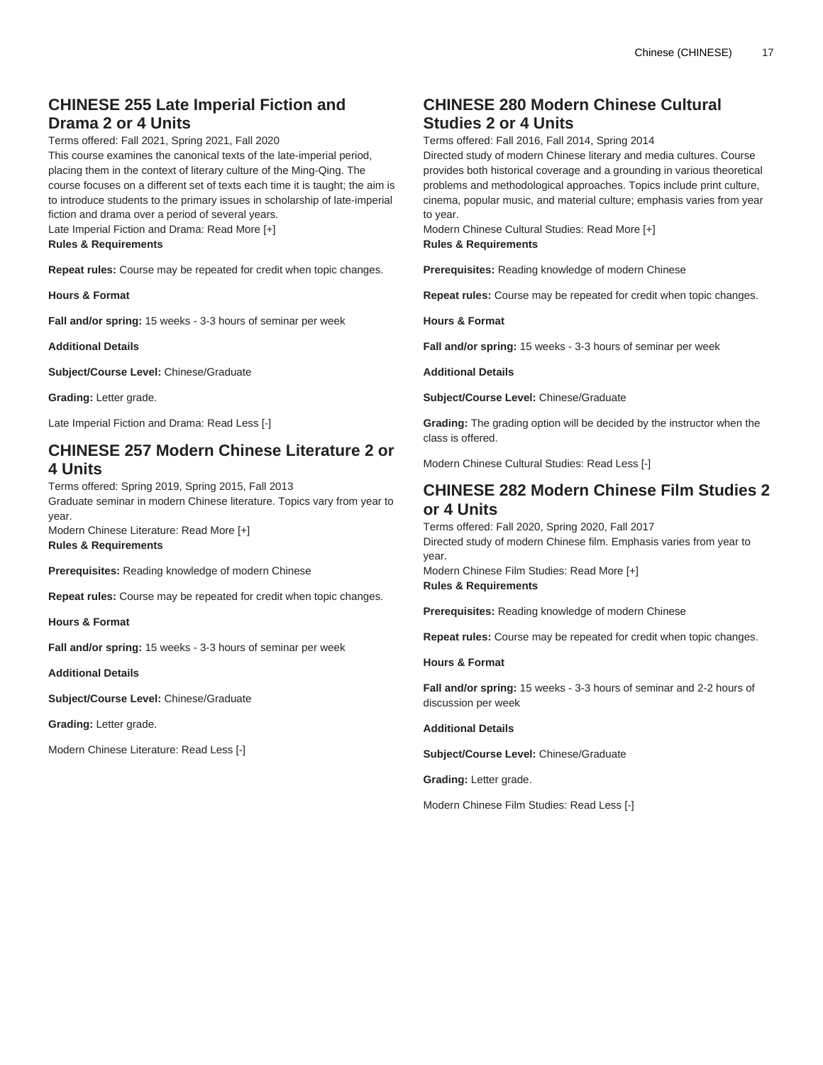# **CHINESE 255 Late Imperial Fiction and Drama 2 or 4 Units**

Terms offered: Fall 2021, Spring 2021, Fall 2020

This course examines the canonical texts of the late-imperial period, placing them in the context of literary culture of the Ming-Qing. The course focuses on a different set of texts each time it is taught; the aim is to introduce students to the primary issues in scholarship of late-imperial fiction and drama over a period of several years. Late Imperial Fiction and Drama: Read More [+] **Rules & Requirements**

**Repeat rules:** Course may be repeated for credit when topic changes.

**Hours & Format**

**Fall and/or spring:** 15 weeks - 3-3 hours of seminar per week

**Additional Details**

**Subject/Course Level:** Chinese/Graduate

**Grading:** Letter grade.

Late Imperial Fiction and Drama: Read Less [-]

### **CHINESE 257 Modern Chinese Literature 2 or 4 Units**

Terms offered: Spring 2019, Spring 2015, Fall 2013 Graduate seminar in modern Chinese literature. Topics vary from year to year.

Modern Chinese Literature: Read More [+] **Rules & Requirements**

**Prerequisites:** Reading knowledge of modern Chinese

**Repeat rules:** Course may be repeated for credit when topic changes.

**Hours & Format**

**Fall and/or spring:** 15 weeks - 3-3 hours of seminar per week

**Additional Details**

**Subject/Course Level:** Chinese/Graduate

**Grading:** Letter grade.

Modern Chinese Literature: Read Less [-]

# **CHINESE 280 Modern Chinese Cultural Studies 2 or 4 Units**

Terms offered: Fall 2016, Fall 2014, Spring 2014

Directed study of modern Chinese literary and media cultures. Course provides both historical coverage and a grounding in various theoretical problems and methodological approaches. Topics include print culture, cinema, popular music, and material culture; emphasis varies from year to year.

Modern Chinese Cultural Studies: Read More [+] **Rules & Requirements**

**Prerequisites:** Reading knowledge of modern Chinese

**Repeat rules:** Course may be repeated for credit when topic changes.

**Hours & Format**

**Fall and/or spring:** 15 weeks - 3-3 hours of seminar per week

**Additional Details**

**Subject/Course Level:** Chinese/Graduate

**Grading:** The grading option will be decided by the instructor when the class is offered.

Modern Chinese Cultural Studies: Read Less [-]

### **CHINESE 282 Modern Chinese Film Studies 2 or 4 Units**

Terms offered: Fall 2020, Spring 2020, Fall 2017 Directed study of modern Chinese film. Emphasis varies from year to year. Modern Chinese Film Studies: Read More [+] **Rules & Requirements**

**Prerequisites:** Reading knowledge of modern Chinese

**Repeat rules:** Course may be repeated for credit when topic changes.

**Hours & Format**

**Fall and/or spring:** 15 weeks - 3-3 hours of seminar and 2-2 hours of discussion per week

**Additional Details**

**Subject/Course Level:** Chinese/Graduate

**Grading:** Letter grade.

Modern Chinese Film Studies: Read Less [-]